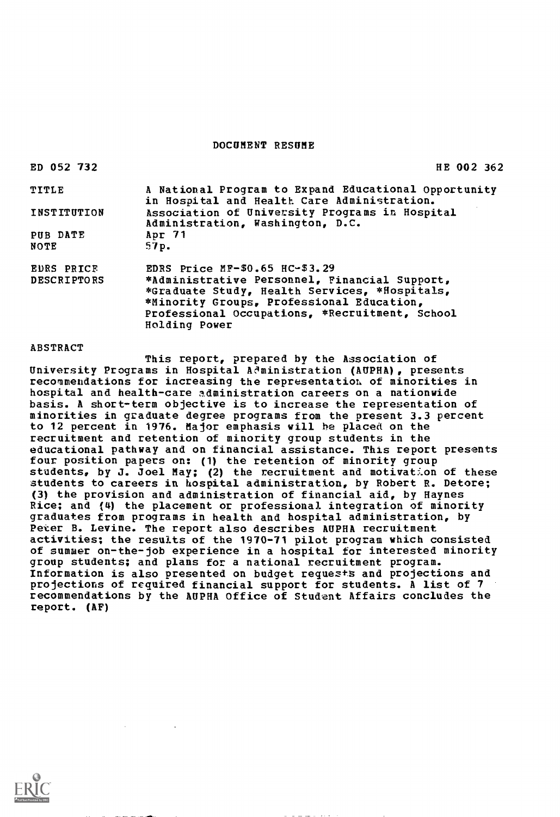#### DOCUMENT RESUME

| ED 052 732         | HE 002 362                                                                                          |
|--------------------|-----------------------------------------------------------------------------------------------------|
| TITLE              | A National Program to Expand Educational Opportunity<br>in Hospital and Health Care Administration. |
| INSTITUTION        | Association of University Programs in Hospital<br>Administration, Washington, D.C.                  |
| PUB DATE           | Apr 71                                                                                              |
| NOTE               | 57p.                                                                                                |
| EDRS PRICE         | EDRS Price $MP-$0.65$ $HC-$3.29$                                                                    |
| <b>DESCRIPTORS</b> | *Administrative Personnel, Financial Support,                                                       |
|                    | *Graduate Study, Health Services, *Hospitals,                                                       |
|                    | *Minority Groups, Professional Education,                                                           |
|                    | Professional Occupations, *Recruitment, School                                                      |
|                    | Holding Power                                                                                       |

#### ABSTRACT

This report, prepared by the Association of University Programs in Hospital Administration (AUPHA), presents recommendations for increasing the representation, of minorities in hospital and health-care administration careers on a nationwide basis. A short-term objective is to increase the representation of minorities in graduate degree programs from the present 3.3 percent to 12 percent in 1976. Major emphasis will he placed on the recruitment and retention of minority group students in the educational pathway and on financial assistance. This report presents four position papers on: (1) the retention of minority group students, by J. Joel May; (2) the recruitment and motivation of these students to careers in hospital administration, by Robert R. Detore; (3) the provision and administration of financial aid, by Haynes Rice; and (4) the placement or professional integration of minority graduates from programs in health and hospital administration, by Peter B. Levine. The report also describes AUPHA recruitment activities; the results of the 1970-71 pilot program which consisted of summer on-the-job experience in a hospital for interested minority group students; and plans for a national recruitment program. Information is also presented on budget requests and projections and projections of required financial support for students. A list of 7 recommendations by the AUPHA Office of Student Affairs concludes the report. (AF)

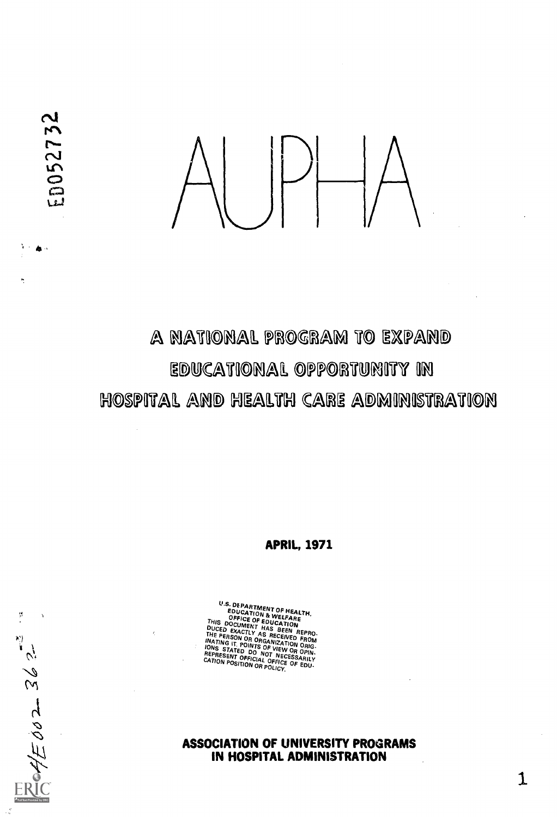

# A NATIONAL PROGRAM TO EXPAND EDUCATIONAL OPPORTUNITY IN HOSPITAL AND HEALTH CARE ADMINISTRATION

APRIL, 1971

U.S. DEPARTMENT OF HEALTH,<br>EDUCATION & WELFARE<br>THIS DOCUMENT HAS BEEN REPRO-<br>DUCED EXACTLY AS RECEIVED FROM<br>THE PERSON OR ORGANIZATION ORIG-<br>INATING IT POINTS OF VIEW OR OPIN-<br>IONS STATED DO NOT NECES<br>ERPRESFNT OF DO NOT N NECESSARILY NECESSARILY<br>CATION POSITION OR POLICY. OF EDU-

ASSOCIATION OF UNIVERSITY PROGRAMS.<br>AN UNCORAL ANUINISTORTION IN HOSPITAL ADMINISTRATION

 $\mathbf{1}$ 

ř.  $E\phi$ o 2 = 36 2 = 3

ED052732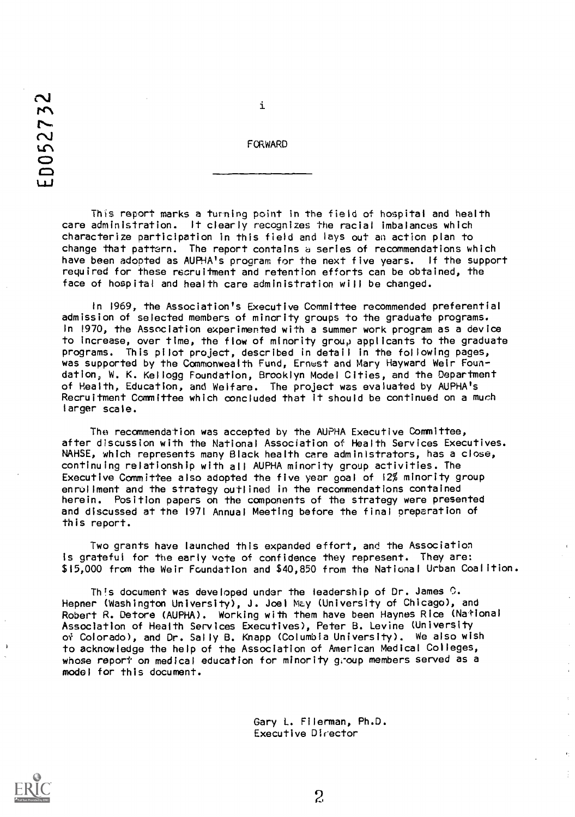# $\sim$  $\mathcal{L}$  $\mathcal{L}$ **C** 1-1-1

i

FORWARD

This report marks a turning point in the field of hospital and health care administration. It clearly recognizes the racial imbalances which characterize participation in this field and lays out an action plan to change that pattern. The report contains a series of recommendations which have been adopted as AUPHA's program for the next five years. If the support required for these recruitment and retention efforts can be obtained, the face of hospital and health care administration will be changed.

In 1969, the Association's Executive Committee recommended preferential admission of selected members of minority groups to the graduate programs. In 1970, the Association experimented with a summer work program as a device to increase, over time, the flow of minority group applicants to the graduate programs. This pilot project, described in detail in the following pages, was supported by the Commonwealth Fund, Ernest and Mary Hayward Weir Foundation, W. K. Kellogg Foundation, Brooklyn Model Cities, and the Department of Health, Education, and Welfare. The project was evaluated by AUPHAls Recruitment Committee which concluded that it should be continued on a much larger scale.

The recommendation was accepted by the AUPHA Executive Committee, after discussion with the National Association of Health Services Executives. NAHSE, which represents many Black health care administrators, has a close, continuing relationship with all AUPHA minority group activities. The Executive Committee also adopted the five year goal of 12% minority group enrollment and the strategy outlined in the recommendations contained herein. Position papers on the components of the strategy were presented and discussed at the 1971 Annual Meeting before the final preparation of this report.

Two grants have launched this expanded effort, and the Association Is grateful for the early vote of confidence they represent. They are: \$15,000 from the Weir Foundation and \$40,850 from the National Urban Coalition.

This document was developed under the leadership of Dr. James  $\mathbb{C}$ . Hepner (Washington University), J. Joel May (University of Chicago), and Robert R. Detore (AUPHA). Working with them have been Haynes Rice (National Association of Health Services Executives), Peter B. Levine (University of Colorado), and Dr. Sally B. Knapp (Columbia University). We also wish to acknowledge the help of the Association of American Medical Colleges, whose report on medical education for minority group members served as a model for this document.

> Gary L. Filerman, Ph.D. Executive Director

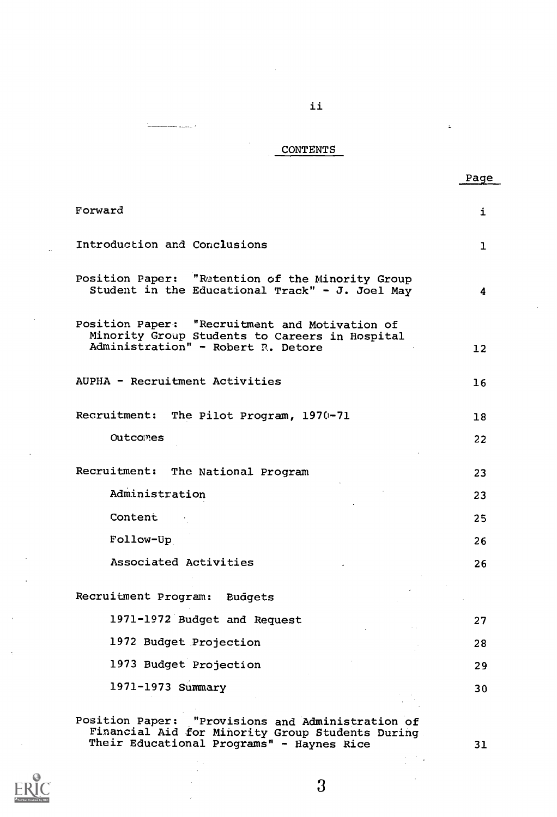# CONTENTS

÷

.<br>• سنست سند ۱

Page

 $\downarrow$ 

ii

| Forward                                                                                                                                | i                 |
|----------------------------------------------------------------------------------------------------------------------------------------|-------------------|
| Introduction and Conclusions                                                                                                           | 1                 |
| Position Paper: "Retention of the Minority Group<br>Student in the Educational Track" - J. Joel May                                    | 4                 |
| Position Paper: "Recruitment and Motivation of<br>Minority Group Students to Careers in Hospital<br>Administration" - Robert R. Detore | $12 \overline{ }$ |
| AUPHA - Recruitment Activities                                                                                                         | 16                |
| Recruitment: The Pilot Program, 1970-71                                                                                                | 18                |
| Outcomes                                                                                                                               | 22                |
| Recruitment: The National Program                                                                                                      | 23                |
| Administration                                                                                                                         | 23                |
| Content                                                                                                                                | 25                |
| Follow-Up                                                                                                                              | 26                |
| Associated Activities                                                                                                                  | 26                |
| Recruitment Program: Budgets                                                                                                           |                   |
| 1971-1972 Budget and Request                                                                                                           | 27                |
| 1972 Budget Projection                                                                                                                 | 28                |
| 1973 Budget Projection                                                                                                                 | 29                |
| 1971-1973 Summary                                                                                                                      | 30                |
|                                                                                                                                        |                   |

Position Paper: "Provisions and Administration of Financial Aid for Minority Group Students During Their Educational Programs" - Haynes Rice 31



3

 $\mathcal{F}_{\mathcal{A}}$ Í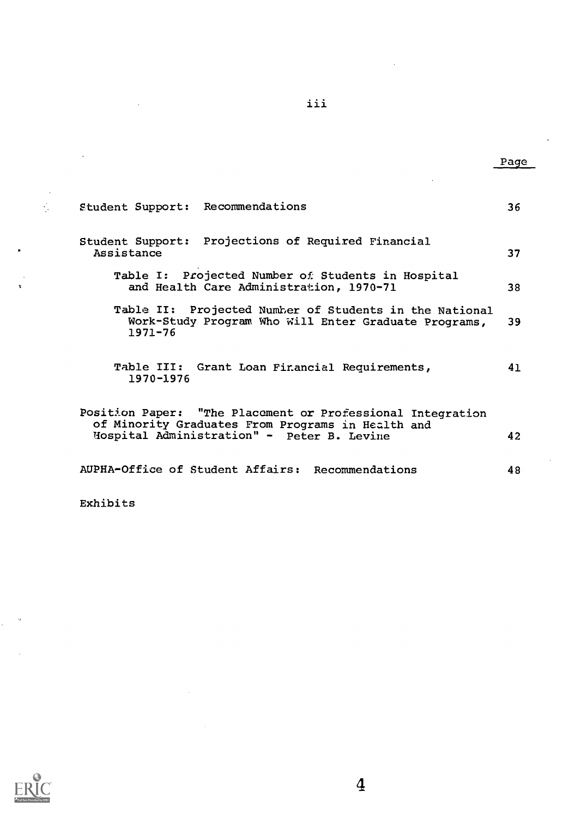student Support: Recommendations 36 Student Support: Projections of Required Financial Assistance 37 Table I: Projected Number of Students in Hospital<br>and Health Care Administration, 1970-71 38 and Health Care Administration, 1970-71 Table II: Projected Number of Students in the National<br>Work-Study Program Who Will Enter Graduate Programs, 39 Work-Study Program Who Will Enter Graduate Programs, 1971-76 Table III: Grant Loan Financial Requirements, 41 1970-1976 Position Paper: "The Placement or Professional Integration of Minority Graduates From Programs in Health and liospital Administration" - Peter B. Levine 42 AUPHA-Office of Student Affairs: Recommendations 48

Exhibits

 $\mathcal{L}_{\mathbf{z}}$ 



iii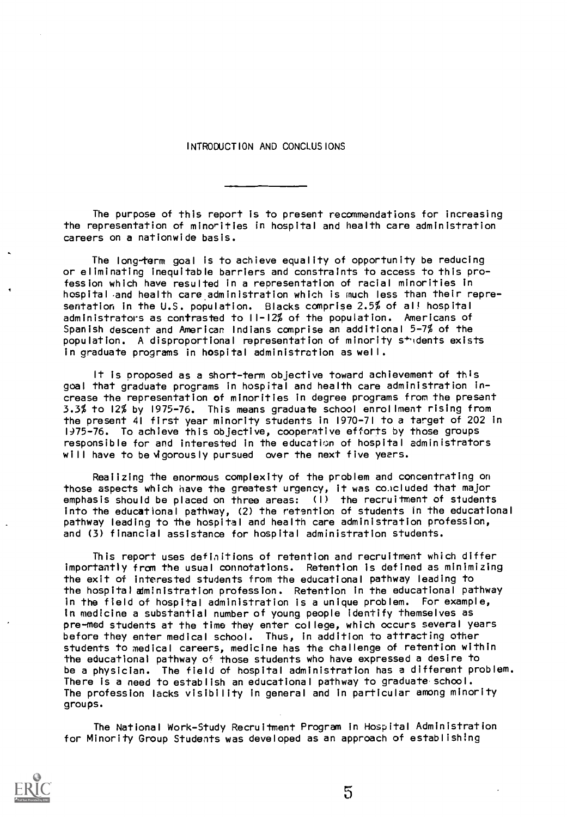#### INTRODUCTION AND CONCLUSIONS

The purpose of this report is to present recommendations for increasing the representation of minorities in hospital and health care administration careers on a nationwide basis.

The long-term goal is to achieve equality of opportunity be reducing or eliminating inequitable barriers and constraints to access to this profession which have resulted in a representation of racial minorities in hospital and health care. administration which is much less than their representation in the U.S. population. Blacks comprise 2.5% of all hospital administrators as contrasted to 11-12% of the population. Americans of Spanish descent and American Indians comprise an additional 5-7% of the population. A disproportional representation of minority students exists in graduate programs in hospital administration as well.

It is proposed as a short-term objective toward achievement of this goal that graduate programs in hospital and health care administration increase the representation of minorities in degree programs from the present 3.3% to 12% by 1975-76. This means graduate school enrollment rising from the present 41 first year minority students in 1970-71 to a target of 202 in 1975-76. To achieve this objective, cooperative efforts by those groups responsible for and interested in the education of hospital administrators will have to be vigorously pursued over the next five years.

Reaiizing the enormous complexity of the problem and concentrating on those aspects which have the greatest urgency, it was co.icluded that major emphasis should be placed on three areas: (I) the recruitment of students into the educational pathway, (2) the retention of students in the educational pathway leading to the hospital and health care administration profession, and (3) financial assistance for hospital administration students.

This report uses definitions of retention and recruitment which differ importantly from the usual connotations. Retention is defined as minimizing the exit of interested students from the educational pathway leading to the hospital administration profession. Retention in the educational pathway in the field of hospital administration is a unique problem. For example, in medicine a substantial number of young people identify themselves as pre -mod students at the time they enter college, which occurs several years before they enter medical school. Thus, in addition to attracting other students to medical careers, medicine has the challenge of retention within the educational pathway of those students who have expressed a desire to be a physician. The field of hospital administration has a different problem. There is a need to establish an educational pathway to graduate school. The profession lacks visibility in general and in particular among minority groups.

The National Work-Study Recruitment Program in Hospital Administration for Minority Group Students was developed as an approach of establishing

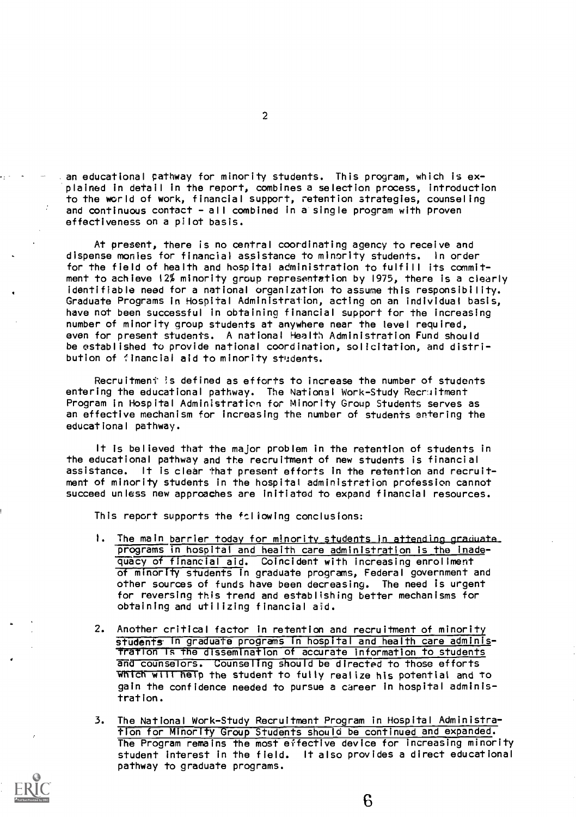an educational pathway for minority students. This program, which is ex-'plained in detail in the report, combines a selection process, introduction to the world of work, financial support, retention strategies, counseling and continuous contact - all combined in a single program with proven effectiveness on a pilot basis.

At present, there is no central coordinating agency to receive and dispense monies for financial assistance to minority students. In order for the field of health and hospital administration to fulfill its commitment to achieve 12% minority group representation by 1975, there is a clearly identifiable need for a national organization to assume this responsibility. Graduate Programs in Hospital Administration, acting on an individual basis, have not been successful in obtaining financial support for the increasing number of minority group students at anywhere near the level required, even for present students. A national Health Administration Fund should be established to provide national coordination, solicitation, and distribution of financial aid to minority students.

Recruitment is defined as efforts to increase the number of students entering the educational pathway. The National Work-Study Recraitment Program in Hospital Administration for Minority Group Students serves as an effective mechanism for increasing the number of students entering the educational pathway.

It is believed that the major problem in the retention of students in the educational pathway and the recruitment of new students is financial assistance. It is clear that present efforts in the retention and recruitment of minority students in the hospital administration profession cannot succeed unless new approaches are initiated to expand financial resources.

This report supports the following conclusions:

- 1. The main barrier today for minority students in attending graduate. programs in hospital and heaith care administration is the inadequacy of financial aid. Coincident with increasing enrollment of minority students in graduate programs, Federal government and other sources of funds have been decreasing. The need is urgent for reversing this trend and establishing better mechanisms for obtaining and utilizing financial aid.
- 2. Another critical factor in retention and recruitment of minority students in graduate programs in hospital and health care adminisfration is the dissemination of accurate information to students and counselors. Counseling should be directed to those efforts wnicn wtit help the student to fully realize his potential and to gain the confidence needed to pursue a career in hospital administration.
- 3. The National Work-Study Recruitment Program in Hospital Administration for Minority Group Students should be continued and expanded. The Program remains the most effective device for increasing minority student interest in the field. It also provides a direct educational pathway to graduate programs.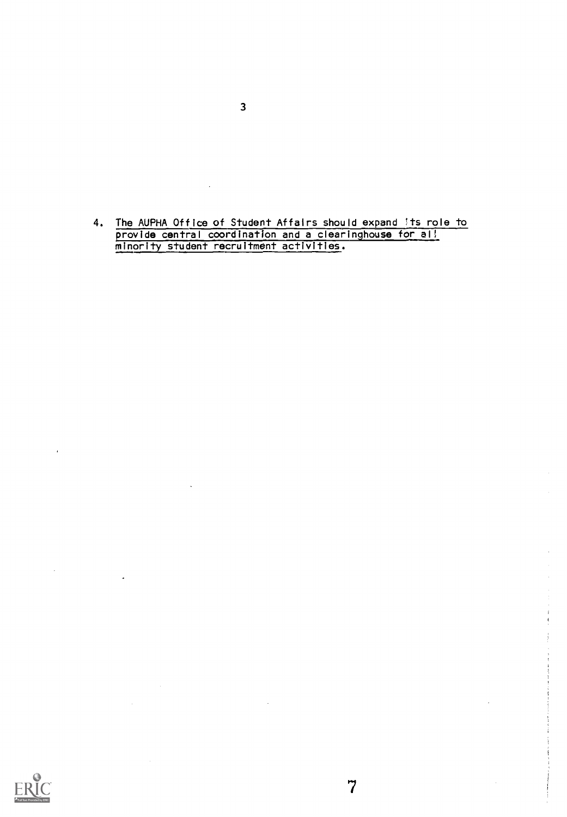4. The AUPHA Office of Student Affairs should expand its role to provide central coordination and a clearinghouse for ali minority student recruitment activities.

7



 $\hat{\mathcal{A}}$ 

 $\mathbb{Z}$ 

 $\overline{1}$ 

 $\ddot{\phantom{1}}$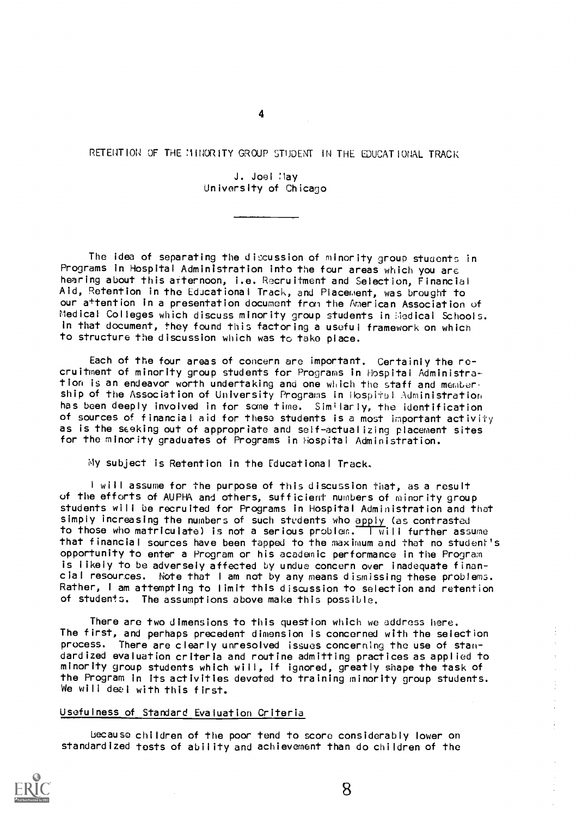RETENTION OF THE MINORITY GROUP STUDENT IN THE EDUCATIONAL TRACK

4

J. Joel May University of Chicago

The idea of separating the discussion of minority group students in Programs in Hospital Administration into the four areas which you are hearing about this afternoon, i.e. Recruitment and Selection, Financial Aid, Retention in the Educational Track, and Placement, was brought to our a+tention in a presentation document from the American Association of Medical Colleges which discuss minority group students in Medical Schools. In that document, they found this factoring a useful framework on which to structure the discussion which was to take place.

Each of the four areas of concern are important. Certainly the recruitment of minority group students for Programs in Hospital Administration is an endeavor worth undertaking and one which the staff and membership of the Association of University Programs in Hospital Administration has been deeply involved in for sane time. Similarly, the identification of sources of financial aid for these students is a most important activity as is the seeking out of appropriate and self-actualizing placement sites for the minority graduates of Programs in Hospital Administration.

My subject is Retention in the Educational Track,

<sup>I</sup> will assume for the purpose of this discussion that, as a result of the efforts of AUPHA and others, sufficient numbers of minority group students will be recruited for Programs in Hospital Administration and that simply increasing the numbers of such students who apply (as contrasted to those who matriculate) is not a serious problem. Twill further assume that financial sources have been tapped to the maximum and that no student's opportunity to enter a Program or his academic performance in the Program is likely to be adversely affected by undue concern over inadequate financial resources. Note that <sup>I</sup> am not by any means dismissing these problems. Rather, <sup>I</sup> am attempting to limit this discussion to selection and retention of students. The assumptions above make this possible.

There are two dimensions to this question which we address here. The first, and perhaps precedent dimension is concerned with the selection process. There are clearly unresolved issues concerning the use of standardized evaluation criteria and routine admitting practices as applied to minority group students which will, if ignored, greatly shape the task of the Program in its activities devoted to training minority group students. We will deel with this first.

# Usefulness of Standard Evaluation Criteria

because children of the poor tend to score considerably lower on standardized tests of ability and achievement than do children of the

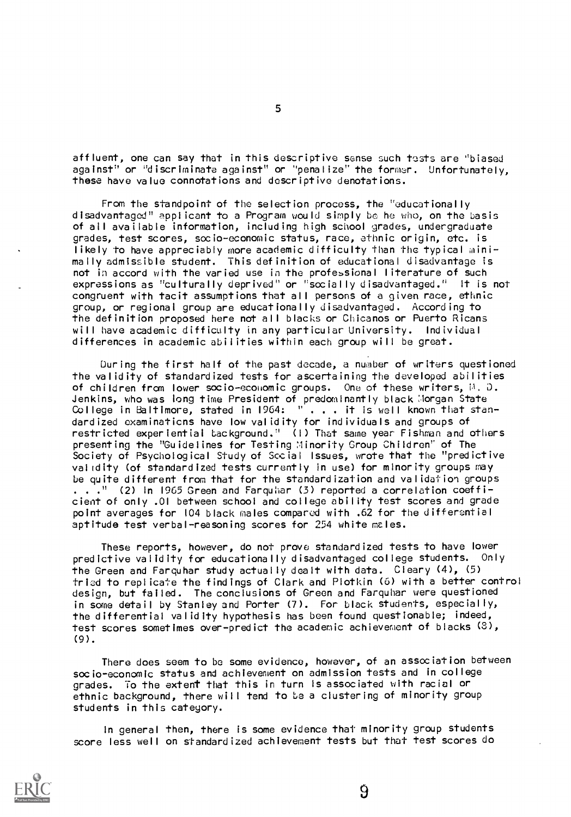affluent, one can say that in this descriptive sense such tests are 'biased against" or "discriminate against" or "penalize" the former. Unfortunately, these have value connotations and descriptive denotations.

From the standpoint of the selection process, the "educationally disadvantaged" applicant to a Program would simply be he who, on the basis of all available information, including high school grades, undergraduate grades, test scores, socio-economic status, race, ethnic origin, etc. is likely to have appreciably more academic difficulty than the typical minimally admissible student. This definition of educational disadvantage is not in accord with the varied use in the professional literature of such expressions as "culturally deprived" or "socially disadvantaged." It is not congruent with tacit assumptions that all persons of a given race, ethnic group, or regional group are educationally disadvantaged. According to the definition proposed here not all blacks or Chicanos or Puerto Ricans will have academic difficulty in any particular University. Individual differences in academic abilities within each group will be great.

During the first half of the past decade, a number of writers questioned the validity of standardized tests for ascertaining the developed abilities of children from lower socio-economic groups. One of these writers,  $\mathbb{A}$ . D. Jenkins, who was long time President of predominantly black Morgan State College in Baltimore, stated in 1964: " . . . it is well known that standardized examinations have low validity for individuals and groups of restricted experiential background." (I) That same year Fishman and others presenting the "Guidelines for Testing Minority Group Children" of The Society of Psychological Study of Social Issues, wrote that the "predictive validity (of standardized tests currently in use) for minority groups may be quite different from that for the standardization and validation groups . . ." (2) in 1965 Green and Farquhar (3) reported a correlation coefficient of only .01 between school and college ability test scores and grade point averages for 104 black males compared with .62 for the differential aptitude test verbal-reasoning scores for 254 white males.

These reports, however, do not prove standardized tests to have lower predictive validity for educationally disadvantaged college students. Only the Green and Farquhar study actually dealt with data. Cleary (4), (5) triad to replicate the findings of Clark and Plotkin (6) with a better control design, but failed. The conclusions of Green and Farquhar were questioned in some detail by Stanley and Porter (7). For black students, especially, the differential validity hypothesis has been found questionable; indeed, test scores sometimes over-predict the academic achievement of blacks (3), (9).

There does seem to be some evidence, however, of an association between socio-economic status and achievement on admission tests and in college grades. To the extent that this in turn Is associated with racial or ethnic background, there will tend to be a clustering of minority group students in this category.

In general then, there is some evidence that minority group students score less well on standardized achievement tests but that test scores do

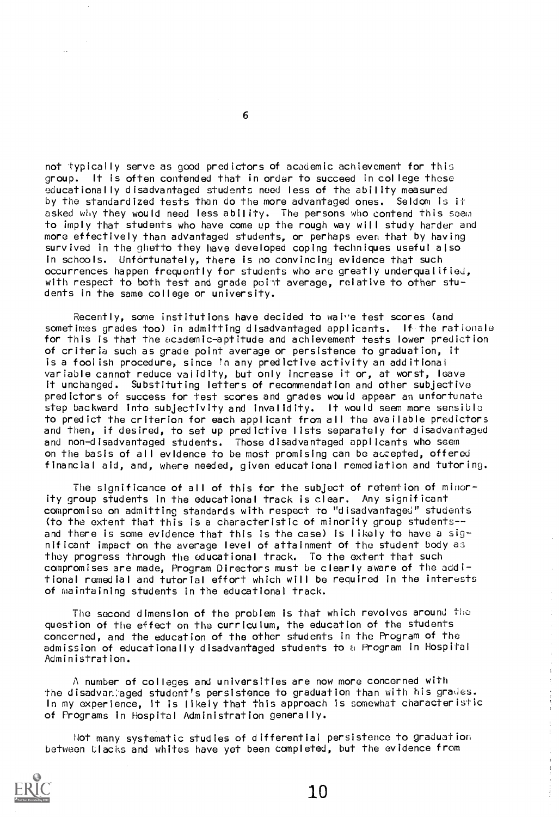not typically serve as good predictors of academic achievement for this group. It is often contended that in order to succeed in college these educationally disadvantaged students need less of the ability measured by the standardized tests than do the more advantaged ones. Seldom is it asked why they would need less ability. The persons who contend this seem to imply that students who have come up the rough way will study harder and more effectively than advantaged students, or perhaps even that by having survived in the ghetto they have developed coping techniques useful also in schools. Unfortunately, there is no convincing evidence that such occurrences happen frequently for students who are greatly underqualified, with respect to both test and grade point average, relative to other students in the same college or university.

Recently, some institutions have decided to waive test scores (and sometimes grades too) in admitting disadvantaged applicants. If the rationale for this is that the academic-aptitude and achievement tests lower prediction of criteria such as grade point average or persistence to graduation, it is a foolish procedure, since 'n any predictive activity an additional variable cannot reduce validity, but only increase it or, at worst, leave it unchanged. Substituting letters of recommendation and other subjective predictors of success for test scores and grades would appear an unfortunate step backward into subjectivity and invalidity. It would seem more sensible to predict the criterion for each applicant from all the available predictors and then, if desired, to set up predictive lists separately for disadvantaged and non-disadvantaged students. Those disadvantaged applicants who seem on the basis of all evidence to be most promising can be accepted, offered financial aid, and, where needed, given educational remediation and tutoring.

The significance of all of this for the subject of retention of minority group students in the educational track is clear. Any significant compromise on admitting standards with respect to "disadvantaged" students (to the extent that this is a characteristic of minority group studentsand there is some evidence that this is the case) is likely to have a significant impact on the average level of attainment of the student body as they progress through the educational track. To the extent that such compromises are made, Program Directors must be clearly aware of the additional remedial and tutorial effort which will be required in the interests of maintaining students in the educational track.

The second dimension of the problem is that which revolves around the question of the effect on the curriculum, the education of the students concerned, and the education of the other students in the Program of the admission of educationally disadvantaged students to a Program in Hospital Administration.

A number of colleges and universities are now more concerned with the disadvar:aged student's persistence to graduation than with his grades. In my experience, it is likely that this approach is somewhat characteristic of Programs in Hospital Administration generally.

Not many systematic studies of differential persistence to graduation between Llacks and whites have yet been completed, but the evidence from



6

 $\hat{\boldsymbol{\beta}}$  $\hat{\psi}$  $\frac{1}{4}$ 

 $\frac{1}{2}$  , and  $\frac{1}{2}$  , and  $\frac{1}{2}$ 

 $\begin{array}{c} 1 \\ 1 \\ 1 \end{array}$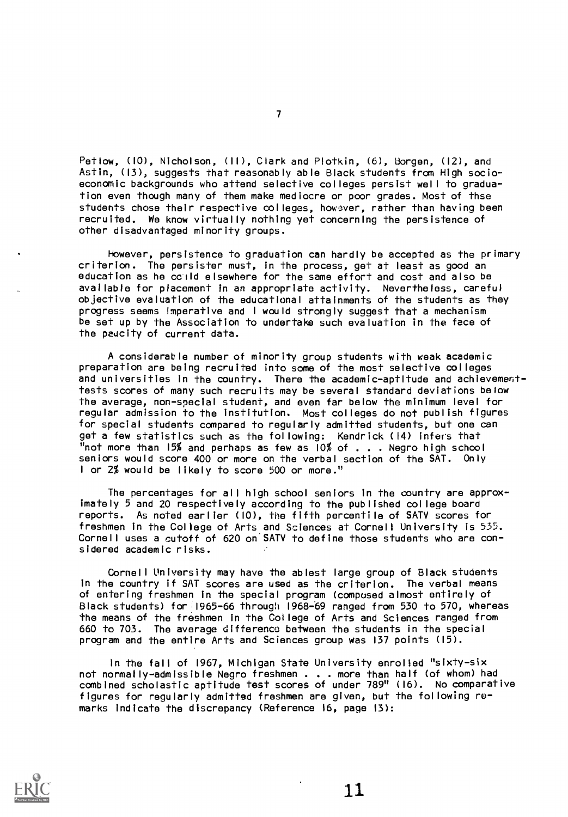Petlow, (10), Nicholson, (II), Clark and Plotkin, (6), Borgen, (12), and Astin, (13), suggests that reasonably able Black students from High socioeconomic backgrounds who attend selective colleges persist well to graduation even though many of them make mediocre or poor grades. Most of thse students chose their respective colleges, howaver, rather than having been recruited. We know virtually nothing yet concerning the persistence of other disadvantaged minority groups.

However, persistence to graduation can hardly be accepted as the primary criterion. The persister must, in the process, get at least as good an education as he colld elsewhere for the same effort and cost and also be available for placement in an appropriate activity. Nevertheless, careful objective evaluation of the educational attainments of the students as they progress seems imperative and <sup>I</sup> would strongly suggest that a mechanism be set up by the Association to undertake such evaluation in the face of the paucity of current data.

A considerable number of minority group students with weak academic preparation are being recruited into some of the most selective colleges and universities in the country. There the academic-aptitude and achievementtests scores of many such recruits may be several standard deviations below the average, non-special student, and even far below the minimum level for regular admission to the institution. Most colleges do not publish figures for special students compared to regularly admitted students, but one can get a few statistics such as the following: Kendrick (14) infers that "not more than 15% and perhaps as few as 10% of . . . Negro high school seniors would score 400 or more on the verbal section of the SAT. Only <sup>I</sup> or 2% would be likely to score 500 or more."

The percentages for all high school seniors in the country are approximately 5 and 20 respectively according to the published college board reports. As noted earlier (10), the fifth percentile of SATV scores for freshmen in the College of Arts and Sciences at Cornell University is 535. Cornell uses a cutoff of 620 on SATV to define those students who are considered academic risks.

Cornell University may have the ablest large group of Black students in the country if SAT scores are used as the criterion. The verbal means of entering freshmen in the special program (composed almost entirely of Black students) for 1965-66 through 1968-69 ranged from 530 to 570, whereas the means of the freshmen in the College of Arts and Sciences ranged from 660 to 703. The average difference between the students in the special program and the entire Arts and Sciences group was 137 points (15).

In the fall of 1967, Michigan State University enrolled "sixty-six not normally-admissible Negro freshmen . . . more than half (of whom) had combined scholastic aptitude test scores of under 789" (16). No comparative figures for regularly admitted freshmen are given, but the following remarks indicate the discrepancy (Reference 16, page 13):

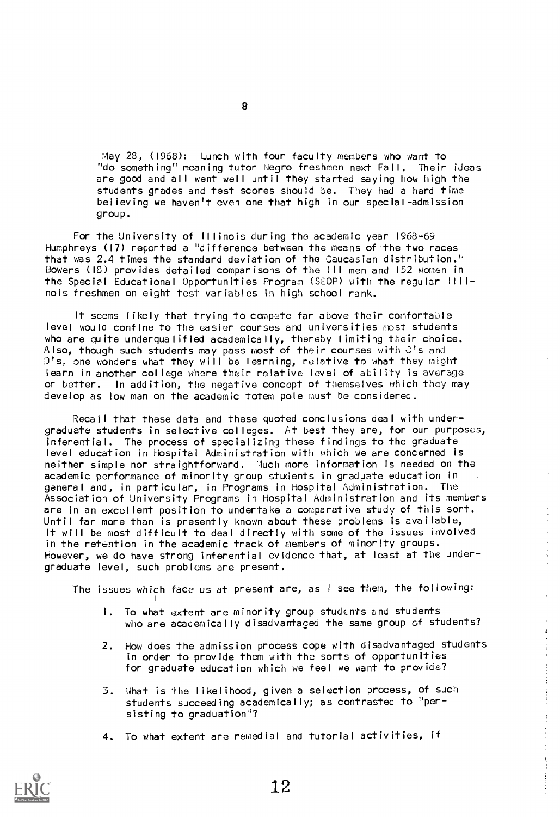May 28, (1968): Lunch with four faculty members who want to "do something" meaning tutor Negro freshmen next Fall. Their ideas are good and all went well until they started saying how high the students grades and test scores should be. They had a hard time believing we haven't even one that high in our special-admission group.

For the University of Illinois during the academic year 1968-69 Humphreys (17) reported a "difference between the means of the two races that was 2.4 times the standard deviation of the Caucasian distribution.' Bowers (IS) provides detailed comparisons of the III men and 152 women in the Special Educational Opportunities Program (SEOP) with the regular Illinois freshmen on eight test variables in high school rank.

It seems likely that trying to compete far above their comfortable level would confine to the easier courses and universities most students who are quite underqualified academically, thereby limiting their choice. Also, though such students may pass most of their courses with C's and D's, one wonders what they will be learning, relative to what they might learn in another college whore their relative level of ability is average or better. In addition, the negative concept of themselves which they may develop as low man on the academic totem pole must be considered.

Recall that these data and these quoted conclusions deal with undergraduate students in selective colleges. At best they are, for our purposes, inferential. The process of specializing these findings to the graduate level education in Hospital Administration with which we are concerned is neither simple nor straightforward. Much more information is needed on the academic performance of minority group students in graduate education in general and, in particular, in Programs in Hospital Administration. The Association of University Programs in Hospital Administration and its members are in an excellent position to undertake a comparative study of this sort. Until far more than is presently known about these problems is available, it will be most difficult to deal directly with some of the issues involved in the retention in the academic track of members of minority groups. However, we do have strong inferential evidence that, at least at the undergraduate level, such problems are present.

The issues which face us at present are, as I see them, the following:

I. To what extent are minority group students and students who are academically disadvantaged the same group of students?  $\frac{4}{3}$ 

- 2. How does the admission process cope with disadvantaged students in order to provide them with the sorts of opportunities for graduate education which we feel we want to provide?
- 3. what is the likelihood, given a selection process, of such students succeeding academically; as contrasted to "persisting to graduation"?
- 4. To what extent are remedial and tutorial activities, if

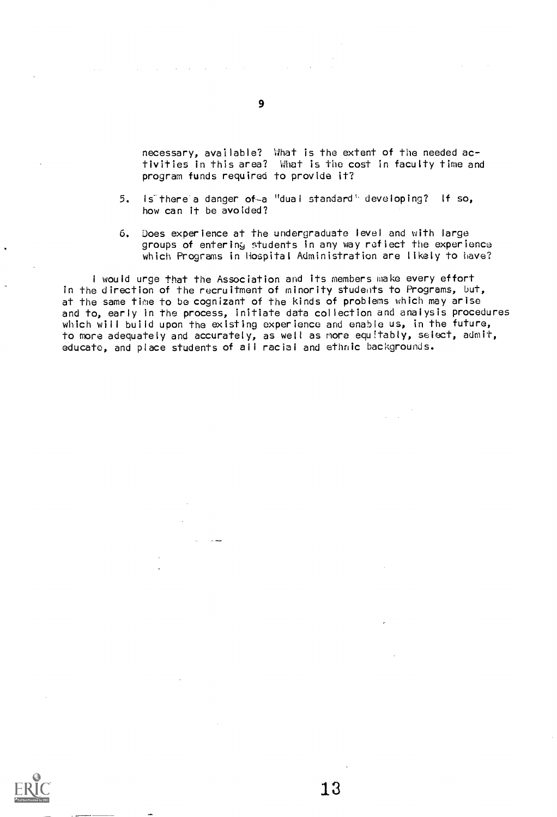necessary, available? What is the extent of the needed activities in this area? What is the cost in faculty time and program funds required to provide it?

- 5. Is there a danger of-a "dual standard' developing? if so, how can it be avoided?
- 6. Does experience at the undergraduate level and with large groups of entering students in any way reflect the experience which Programs in Hospital Administration are likely to have?

I would urge that the Association and its members make every effort in the direction of the recruitment of minority students to Programs, but, at the same time to be cognizant of the kinds of problems which may arise and to, early in the process, initiate data collection and analysis procedures which will build upon the existing experience and enable us, in the future, to more adequately and accurately, as well as more equitably, select, admit, educate, and place students of all racial and ethnic backgrounds.

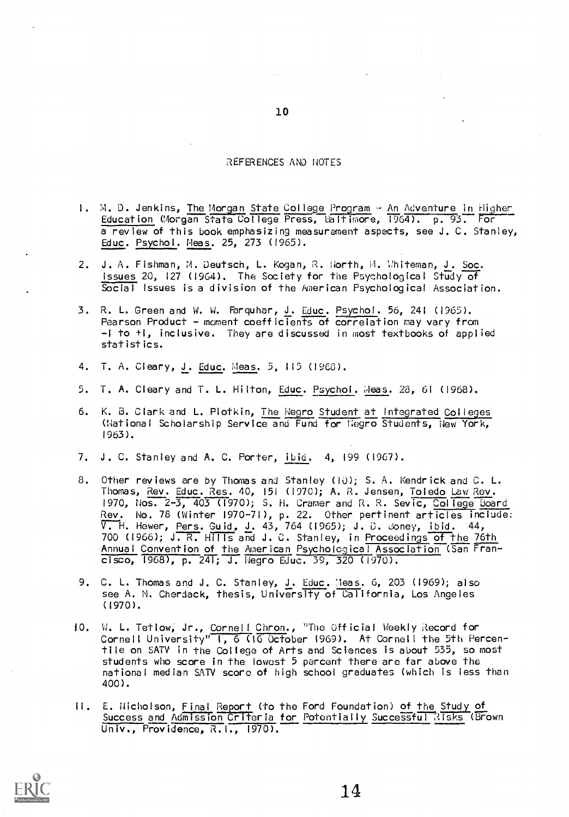#### REFERENCES AND NOTES

- I. M. D. Jenkins, The Morgan State College Program An Adventure in Higher Education (Morgan State College Press, Baltimore, 1964). p. 93. For a review of this book emphasizing measurement aspects, see J. C. Stanley, Educ. Psychol. fleas. 25, 273 (1965).
- 2. J. A. Fishman, M. Deutsch, L. Kogan, R. North, M. Whiteman, J. Soc. Issues 20, 127 (1964). The Society for the Psychological Study of Social Issues is a division of the American Psychological Association.
- 3. R. L. Green and W. W. Farquhar, J. Educ. Psychol. 56, 241 (1965). Pearson Product - moment coefficients of correlation may vary from -1 to +I, inclusive. They are discussed in most textbooks of applied statistics.
- 4. T. A. Cleary, J. Educ. Meas. 5, 115 (1960).
- 5. T. A. Cleary and T. L. Hilton, Educ. Psychol. Meas. 28, 61 (1968).
- 6. K. B. Clark and L. Plotkin, The Negro Student at Integrated Colleges (National Scholarship Service and Fund for Negro Students, New York, 1963).
- 7. J. C. Stanley and A. C. Porter, ibid. 4, 199 (1967).
- 8. Other reviews are by Thomas and Stanley (10); S. A. Kendrick and C. L. Thomas, Rev. Educ. Res. 40, <sup>151</sup> (1970); A. R. Jensen, Toledo Law Rev. 1970, Nos. 2-3, 403 (1970); S. H. Cramer and R. R. Sevic, <u>College Board</u> Rev. No. 78 (Winter 1970-71), p. 22. Other pertinent articles include: V. H. Hewer, Pers. Guid, J. 43, 764 (1965); J. D. coney, ibid. 44, 700 (1966); J. R. Hills and J. C. Stanley, in Proceedings of the 76th Annual Convention of the American Psychological Association (San Francisco, 1968 , p. 241; J. Negro Educ. 39, 320 (1970).
- 9. C. L. Thomas and J. C. Stanley, <u>J. Educ</u>. <u>Meas</u>. 6, 203 (1969); also see A. N. Cherdack, thesis, University of California, Los Angeles (1970).
- JO. W. L. Tetlow, Jr., Cornell Chron., 'The Official Weekly Record for Cornell University" 1, 6 (1G October 1969). At Cornell the 5th Percentile on SATV in the College of Arts and Sciences is about 535, so most students who score in the lowest 5 percent there are far above the national median SATV score of high school graduates (which is less than 400).
- II. E. Nicholson, Final Report (to the Ford Foundation) of the Study of Success and Admission Criteria for Potentially Successful Risks (Brown Univ., Providence, R.I., 1970).

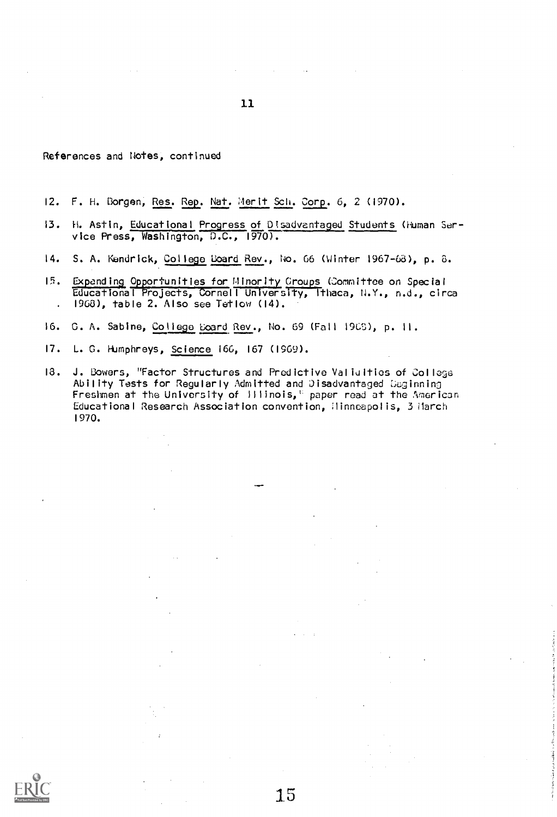11

References and Notes, continued

- 12. F. H. Borgen, Res. Rep. Nat. Merit Sch. Corp. 6, 2 (1970).
- 13. H. Astin, Educational Progress of Disadvantaged Students (Human Service Press, Washington, D.C., 1970).
- 14. S. A. Kendrick, College board Rev., No. 66 (Winter 1967-0d), p. 8.
- 15. Expanding Opportunities for Minority Croups (Committee on Special Educational Projects, Cornell University, Ithaca, N.Y., n.d., circa . 1963), table 2. Also see Tetlow (14).
- 16. G. A. Sabine, College Board Rev., No. 69 (Fall 1903), p. 11.
- 17. L. G. Humphreys, Science 16G, 167 (1969).
- 13. J. Bowers, "Factor Structures and Predictive Valialties of College Ability Tests for Regularly Admitted and Disadvantaged Deginning Freshmen at the University of Illinois," paper read at the American Educational Research Association convention, Minneapolis, 3 March 1970.

:15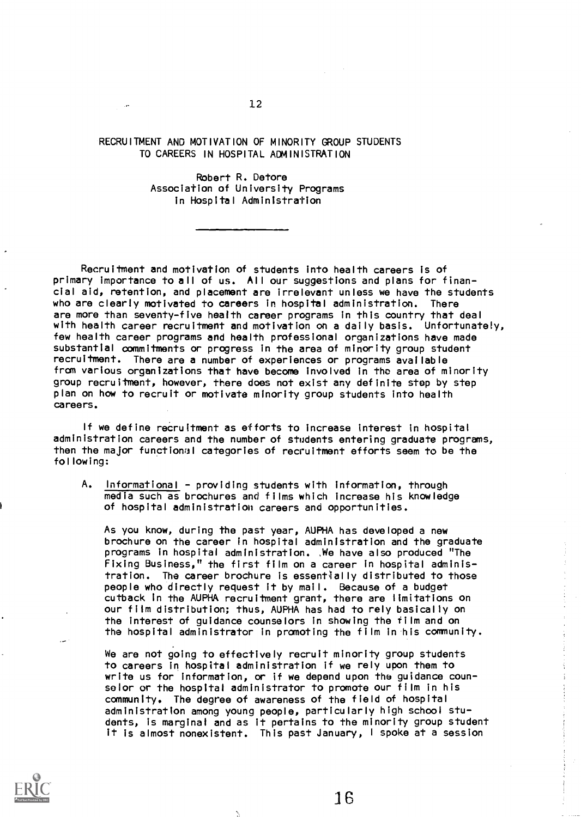#### RECRUITMENT AND MOTIVATION OF MINORITY GROUP STUDENTS TO CAREERS IN HOSPITAL ADMINISTRATION

Robert R. Detore Association of University Programs in Hospital Administration

Recruitment and motivation of students into health careers is of primary importance to all of us. All our suggestions and plans for financial aid, retention, and placement are irrelevant unless we have the students who are clearly motivated to careers in hospital administration. There are more than seventy-five health career programs in this country that deal with health career recruitment and motivation on a daily basis. Unfortunately, few health career programs and health professional organizations have made substantial commitments or progress in the area of minority group student recruitment. There are a number of experiences or programs available from various organizations that have become involved in tho area of minority group recruitment, however, there does not exist any definite stop by step plan on how to recruit or motivate minority group students into health careers.

If we define recruitment as efforts to increase interest in hospital administration careers and the number of students entering graduate programs, then the major functional categories of recruitment efforts seem to be the following:

A. Informational - providing students with information, through media such as brochures and films which increase his knowledge of hospital administration careers and opportunities.

As you know, during the past year, AUPHA has developed a new brochure on the career in hospital administration and the graduate programs in hospital administration. We have also produced "The Fixing Business," the first film on a career in hospital administration. The career brochure is essentially distributed to those people who directly request it by mail. Because of a budget cutback in the AUPHA recruitment grant, there are limitations on our film distribution; thus, AUPHA has had to rely basically on the interest of guidance counselors in showing the film and on the hospital administrator in promoting the film in his community.

We are not going to effectively recruit minority group students to careers in hospital administration if we rely upon them to write us for information, or if we depend upon the guidance counselor or the hospital administrator to promote our film in his community. The dearee of awareness of the field of hospital administration among young people, particularly high school students, is marginal and as it pertains to the minority group student it is almost nonexistent. This past January, <sup>I</sup> spoke at a session

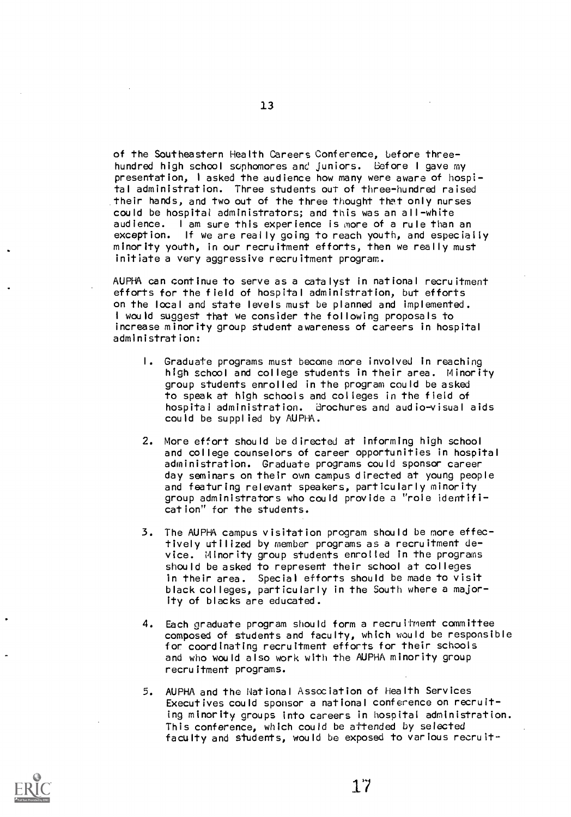of the Southeastern Health Careers Conference, before threehundred high school sophomores and juniors. Before I gave my presentation, <sup>I</sup> asked the audience how many were aware of hospital administration. Three students out of three-hundred raised their hands, and two out of the three thought that only nurses could be hospital administrators; and this was an all-white audience. <sup>I</sup> am sure this experience is more of a rule than an exception. If we are really going to reach youth, and especially minority youth, in our recruitment efforts, then we really must initiate a very aggressive recruitment program.

AUPHA can continue to serve as a catalyst in national recruitment efforts for the field of hospital administration, but efforts on the local and state levels must be planned and implemented. <sup>I</sup> would suggest that we consider the following proposals to increase minority group student awareness of careers in hospital administration:

- I. Graduate programs must become more involved in reaching high school and college students in their area. Minority group students enrolled in the program could be asked to speak at high schools and colleges in the field of hospital administration. Brochures and audio-visual aids could be supplied by AUPHA.
- 2. More effort should be directed at informing high school and college counselors of career opportunities in hospital administration. Graduate programs could sponsor career day seminars on their own campus directed at young people and featuring relevant speakers, particularly minority group administrators who could provide a "role identification" for the students.
- 3. The AUPHA campus visitation program should be more effectively utilized by member programs as a recruitment device. Minority group students enrolled in the programs should be asked to represent their school at colleges in their area. Special efforts should be made to visit black colleges, particularly in the South where a majority of blacks are educated.
- 4. Each graduate program should form a recruitment committee composed of students and faculty, which would be responsible for coordinating recruitment efforts for their schools and who would also work with the AUPHA minority group recruitment programs.
- 5. AUPHA and the National Association of Health Services Executives could sponsor a national conference on recruiting minority groups into careers in hospital administration. This conference, which could be attended by selected faculty and students, would be exposed to various recruit-



13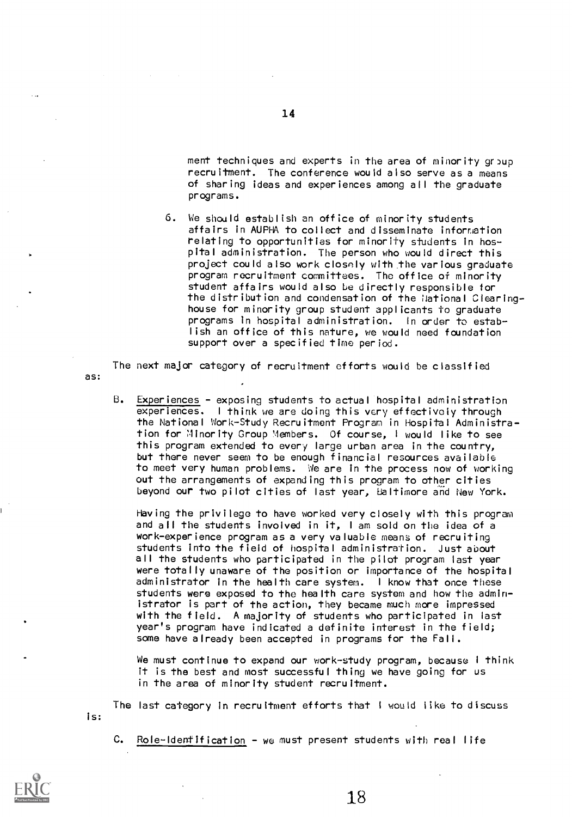ment techniques and experts in the area of minority group recruitment. The conference would also serve as a means of sharing ideas and experiences among all the graduate programs.

6. We should establish an office of minority students affairs in AUPHA to collect and disseminate information relating to opportunities for minority students in hospital administration. The person who would direct this project could also work closely with the various graduate program recruitment committees. The office of minority student affairs would also be directly responsible for the distribution and condensation of the National Clearinghouse for minority group student applicants to graduate programs in hospital administration. In order to establish an office of this nature, we would need foundation support over a specified time period.

The next major category of recruitment efforts would be classified

B. Experiences - exposing students to actual hospital administration experiences. I think we are doing this very effectively through the National Work-Study Recruitment Program in Hospital Administration for Minority Group Members. Of course, <sup>I</sup> would like to see this program extended to every large urban area in the country, but there never seem to be enough financial resources available to meet very human problems. We are in the process now of working out the arrangements of expanding this program to other cities beyond our two pilot cities of last year, Baltimore and New York.

Having the privilege to have worked very closely with this program and all the students involved in it, <sup>I</sup> am sold on the idea of a work-experience program as a very valuable means of recruiting students into the field of hospital administration. Just about all the students who participated in the pilot program last year were totally unaware of the position or importance of the hospital administrator in the health care system. <sup>I</sup> know that once these students were exposed to the health care system and how the administrator is part of the action, they became much more impressed with the field. A majority of students who participated in last year's program have indicated a definite interest in the field; some have already been accepted in programs for the Fall.

We must continue to expand our work-study program, because I think it is the best and most successful thing we have going for us in the area of minority student recruitment.

is: The last category in recruitment efforts that <sup>I</sup> would like to discuss

 $C.$  Role-Identification - we must present students with real life



as: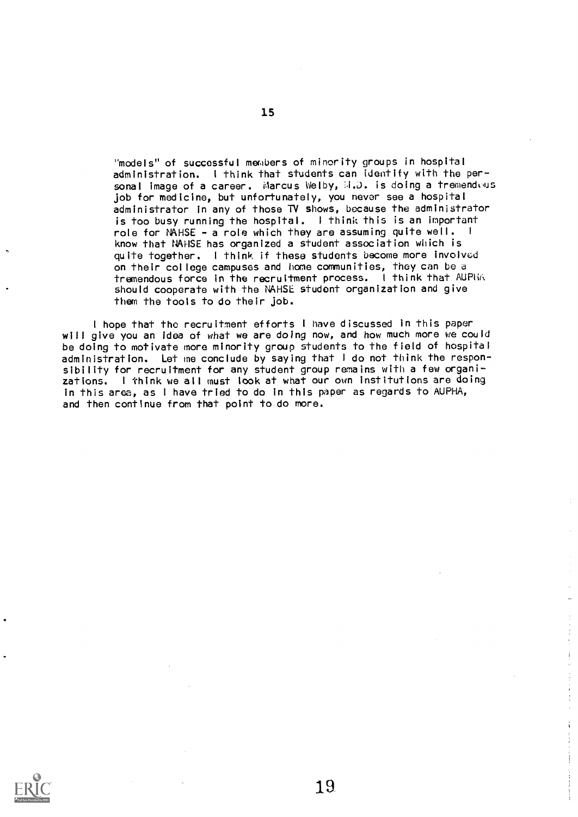"models" of successful members of minority groups in hospital administration. <sup>I</sup> think that students can identify with the personal image of a career. Marcus Welby, M.D. is doing a tremendous job for medicine, but unfortunately, you never see a hospital administrator in any of those TV shows, because the administrator is too busy running the hospital. <sup>I</sup> think this is an important role for NAHSE - a role which they are assuming quite well. <sup>I</sup> know that NAHSE has organized a student association which is quite together. <sup>I</sup> think if these students become more involved on their college campuses and home communities, they can be d tremendous force in the recruitment process. <sup>I</sup> think that AUPHI. should cooperate with the NAHSE student organization and give them the tools to do their job.

<sup>I</sup> hope that the recruitment efforts <sup>I</sup> have discussed in this paper will give you an Idea of what we are doing now, and how much more we could be doing to motivate more minority group students to the field of hospital administration. Let me conclude by saying that <sup>I</sup> do not think the responsibility for recruitment for any student group remains with a few organizations. I think we all must look at what our own institutions are doing in this area, as <sup>I</sup> have tried to do in this paper as regards to AUPHA, and then continue from that point to do more.





ŧ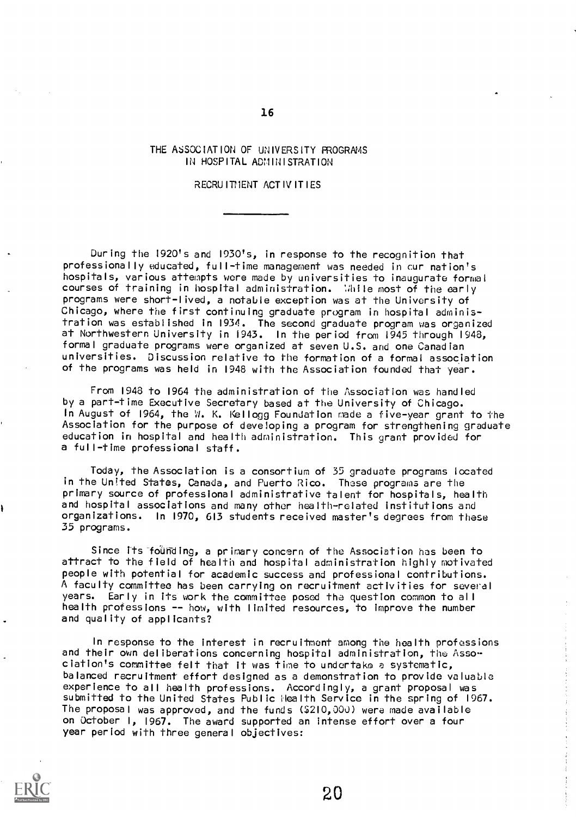#### THE ASSOCIATION OF UNIVERSITY PROGRAMS IN HOSPITAL ADMINISTRATION

#### RECRU ITHENT ACT IV IT LES

During the 1920's and 1930's, in response to the recognition that professionally educated, full-time management was needed in cur nation's hospitals, various attempts were made by universities to inaugurate formal courses of training in hospital administration. Mille most of the early programs were short-lived, a notable exception was at the University of Chicago, where the first continuing graduate program in hospital administration was established in 1934. The second graduate program was organized at Northwestern University in 1943. In the period from 1945 through 1948, formal graduate programs were organized at seven U.S. and one Canadian universities. Discussion relative to the formation of a formal association of the programs was held in 1948 with the Association founded that year.

From 1948 to 1964 the administration of the Association was handled by a part-time Executive Secretary based at the University of Chicago. In August of 1964, the W. K. Kellogg Foundation made a five-year grant to the Association for the purpose of deve!oping a program for strengthening graduate education in hospital and health administration. This grant provided for a full-time professional staff.

Today, the Association is a consortium of 35 graduate programs located in the United States, Canada, and Puerto Rico. These programs are the primary source of professional administrative talent for hospitals, health and hospital associations and many other health-related institutions and organizations. In 1970, 613 students received master's degrees from these 35 programs.

Since its founding, a primary concern of the Association has been to attract to the field of health and hospital administration highly motivated people with potential for academic success and professional contributions. A faculty committee has been carrying on recruitment activities for several years. Early in its work the committee posed the question common to all health professions -- how, with limited resources, to improve the number and quality of applicants?

In response to the interest in recruitment among the health professions and their own deliberations concerning hospital administration, the Association's committee felt that it was time to undertake a systematic, balanced recruitment effort designed as a demonstration to provide valuable experience to all health professions. Accordingly, a grant proposal was submitted to the United States Public Health Service in the spring of 1967. The proposal was approved, and the funds (\$2I0,000) were made available on October I, 1967. The award supported an intense effort over a four year period with three general objectives:



16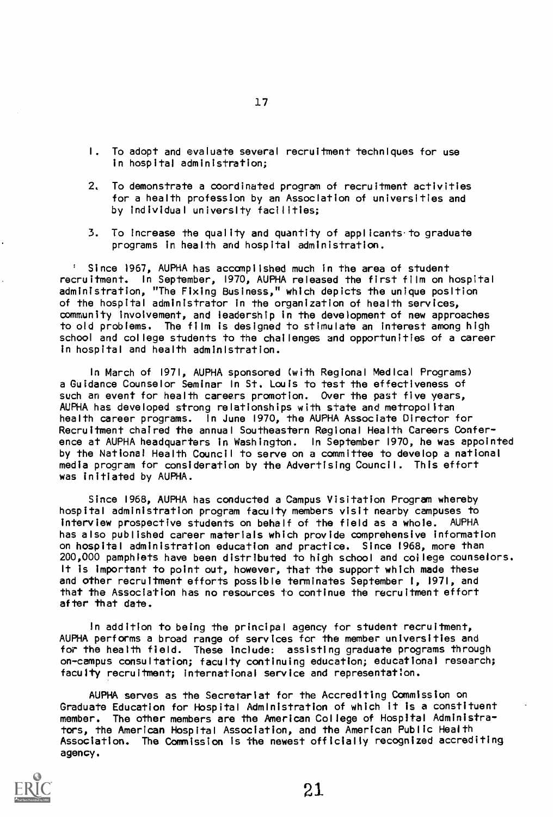- I. To adopt and evaluate several recruitment techniques for use in hospital administration;
- 2. To demonstrate a coordinated program of recruitment activities for a health profession by an Association of universities and by individual university facilities;
- 3. To increase the quality and quantity of applicants to graduate programs in health and hospital administration.

Since 1967, AUPHA has accomplished much in the area of student recruitment. In September, 1970, AUPHA released the first film on hospital administration, "The Fixing Business," which depicts the unique position of the hospital administrator in the organization of health services, community involvement, and leadership in the development of new approaches to old problems. The film is designed to stimulate an interest among high school and college students to the challenges and opportunities of a career in hospital and health administration.

In March of 1971, AUPHA sponsored (with Regional Medical Programs) a Guidance Counselor Seminar In St. Louis to test the effectiveness of such an event for health careers promotion. Over the past five years, AUPHA has developed strong relationships with state and metropolitan health career programs. In June 1970, the AUPHA Associate Director for Recruitment chaired the annual Southeastern Regional Health Careers Conference at AUPHA headquarters in Washington. In September 1970, he was appointed by the National Health Council to serve on a committee to develop a national media program for consideration by the Advertising Council. This effort was initiated by AUPHA.

Since 1968, AUPHA has conducted a Campus Visitation Program whereby hospital administration program faculty members visit nearby campuses to interview prospective students on behalf of the field as a whole. AUPHA has also published career materials which provide comprehensive information on hospital administration education and practice. Since 1968, more than 200,000 pamphlets have been distributed to high school and college counselors. It is important to point out, however, that the support which made these and other recruitment efforts possible terminates September I, 1971, and that the Association has no resources to continue the recruitment effort after that date.

In addition to being the principal agency for student recruitment, AUPHA performs a broad range of services for the member universities and for the health field. These include: assisting graduate programs through on-campus consultation; faculty continuing education; educational research; faculty recruitment; international service and representation.

AUPHA serves as the Secretariat for the Accrediting Commission on Graduate Education for Hospital Administration of which it is a constituent member. The other members are the American College of Hospital Administrators, the American Hospital Association, and the American Public Health Association. The Commission is the newest officially recognized accrediting agency.

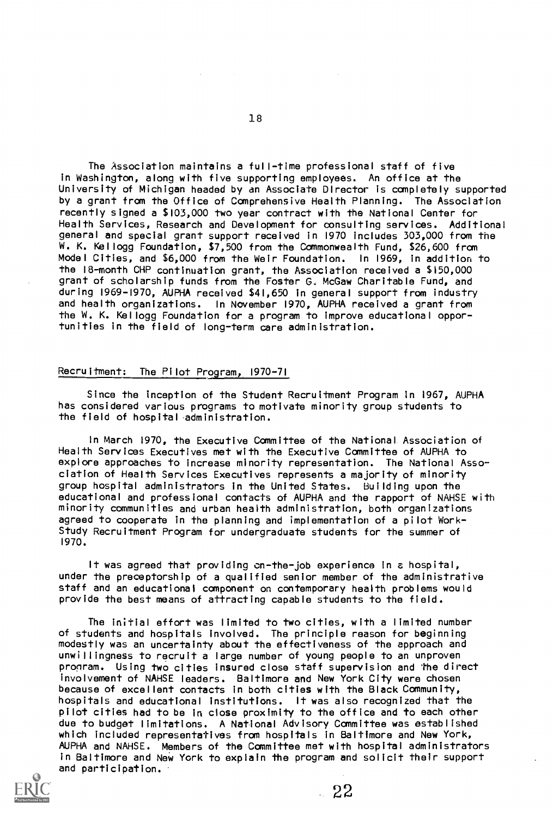The Association maintains a full-time professional staff of five in Washington, along with five supporting employees. An office at the University of Michigan headed by an Associate Director is completely supported by a grant from the Office of Comprehensive Health Planning. The Association recently signed a \$103,000 two year contract with the National Center for Health Services, Research and Development for consulting services. Additional general and special grant support received in 1970 includes 303,000 from the W. K. Kellogg Foundation, \$7,500 from the Commonwealth Fund, \$26,600 from Model Cities, and \$6,000 from the Weir Foundation. In 1969, in addition to the I8-month CHP continuation grant, the Association received a \$150,000 grant of scholarship funds from the Foster G, McGaw Charitable Fund, and during 1969-1970, AUPHA received \$41,650 in general support from industry and health organizations. In November 1970, AUPHA received a grant from the W. K. Kellogg Foundation for a program to improve educational opportunities in the field of long-term care administration.

#### Recruitment: The Pilot Program, 1970-71

Since the inception of the Student Recruitment Program in 1967, AUPHA has considered various programs to motivate minority group students to the field of hospital administration.

In March 1970, the Executive Canmittee of the National. Association of Health Services Executives met with the Executive Canmittee of AUPHA to explore approaches to increase minority representation. The National Association of Health Services Executives represents a majority of minority group hospital administrators in the United States. Building upon the educational and professional contacts of AUPHA and the rapport of NAHSE with minority communities and urban health administration, both organizations agreed to cooperate in the planning and implementation of a pilot Work-Study Recruitment Program for undergraduate students for the summer of 1970.

It was agreed that providing on-the-job experience in a hospital, under the preceptorship of a qualified senior member of the administrative staff and an educational component on contemporary health problems would provide the best means of attracting capable students to the field.

The initial effort was limited to two cities, with a limited number of students and hospitals involved. The principle reason for beginning modestly was an uncertainty about the effectiveness of the approach and unwillingness to recruit a large number of young people to an unproven program. Using two cities insured close staff supervision and the direct involvement of NAHSE leaders. Baltimore and New York City were chosen because of excellent contacts in both cities with the Black Community, hospitals and educational institutions. It was also recognized that the pilot cities had to be in close proximity to the office and to each other due to budget limitations. A National Advisory Canmittee was established which included representatives from hospitals in Baltimore and New York, AUPHA and NAHSE. Members of the Committee met with hospital administrators in Baltimore and New York to explain the program and solicit their support and participation.



22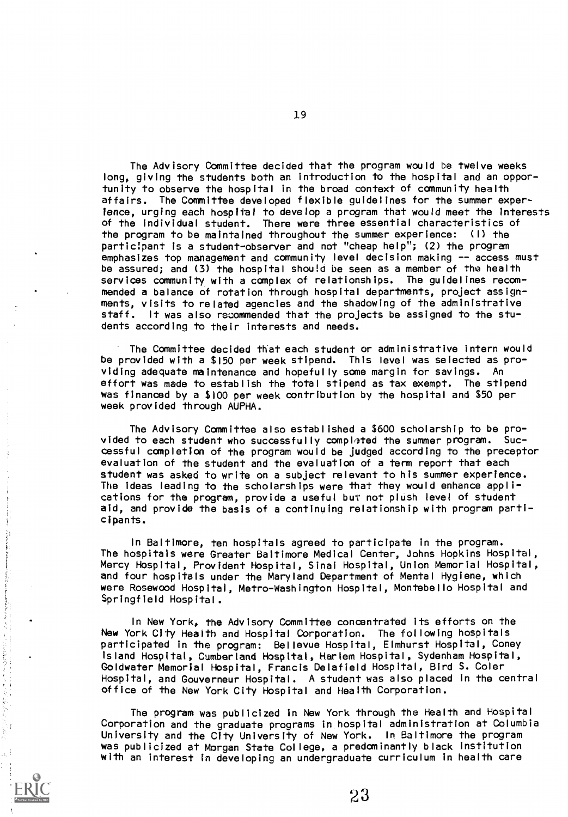The Advisory Committee decided that the program would be twelve weeks long, giving the students both an introduction to the hospital and an opportunity to observe the hospital in the broad context of community health affairs. The Committee developed flexible guidelines for the summer experience, urging each hospital to develop a program that would meet the interests of the individual student. There were three essential characteristics of the program to be maintained throughout the summer experience: (I) the participant is a student-observer and not "cheap help"; (2) the program emphasizes top management and community level decision making -- access must be assured; and (3) the hospital should be seen as a member of the health services community with a complex of relationships. The guidelines recommended a balance of rotation through hospital departments, project assignments, visits to related agencies and the shadowing of the administrative staff. It was also recommended that the projects be assigned to the students according to their interests and needs.

The Committee decided that each student or administrative intern would be provided with a \$150 per week stipend. This level was selected as providing adequate maintenance and hopefully some margin for savings. An effort was made to establish the total stipend as tax exempt. The stipend was financed by a \$100 per week contribution by the hospital and \$50 per week provided through AUPHA.

The Advisory Committee also established a \$600 scholarship to be provided to each student who successfully completed the summer program. Successful completion of the program would be judged according to the preceptor evaluation of the student and the evaluation of a term report that each student was asked to write on a subject relevant to his summer experience. The ideas leading to the scholarships were that they would enhance applications for the program, provide a useful but not plush level of student aid, and provide the basis of a continuing relationship with program participants.

In Baltimore, ten hospitals agreed to participate in the program. The hospitals were Greater Baltimore Medical Center, Johns Hopkins Hospital, Mercy Hospital, Provident Hospital, Sinai Hospital, Union Memorial Hospital, and four hospitals under the Maryland Department of Mental Hygiene, which were Rosewood Hospital, Metro-Washington Hospital, Montebello Hospital and Springfield Hospital.

In New York, the Advisory Committee concentrated its efforts on the New York City Health and Hospital Corporation. The following hospitals participated in the program: Bellevue Hospital, Elmhurst Hospital, Coney Island Hospital, Cumberland Hospital, Harlem Hospital, Sydenham Hospital, Goldwater Memorial Hospital, Francis Delafield Hospital, Bird S. Coler Hospital, and Gouverneur Hospital. A student was also placed in the central office of the New York City Hospital and Health Corporation.

The program was publicized in New York through the Health and Hospital Corporation and the graduate programs in hospital administration at Columbia University and the City University of New York. In Baltimore the program was publicized at Morgan State College, a predominantly black institution with an interest in developing an undergraduate curriculum in health care

 $23\,$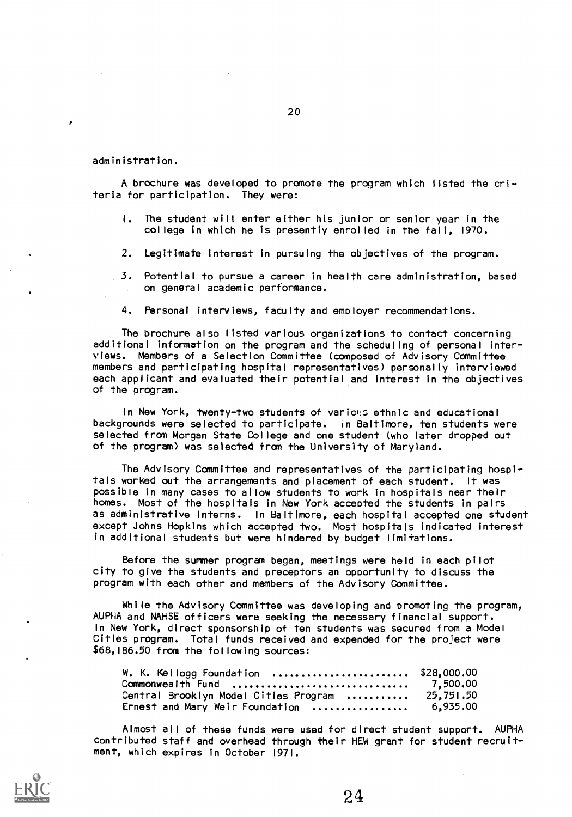administration.

A brochure was developed to promote the program which listed the criteria for participation. They were:

- 1. The student will enter either his junior or senior year in the college in which he is presently enrolled in the fall, 1970.
- 2. Legitimate interest in pursuing the objectives of the program.
- 3. Potential to pursue a career in health care administration, based on general academic performance.
- 4. Personal interviews, faculty and employer recommendations.

The brochure also listed various organizations to contact concerning additional information on the program and the scheduling of personal interviews. Members of a Selection Committee (composed of Advisory Committee members and participating hospital representatives) personally interviewed each applicant and evaluated their potential and interest in the objectives of the program.

In New York, twenty-two students of various ethnic and educational backgrounds were selected to participate. in Baltimore, ten students were selected from Morgan State College and one student (who later dropped out of the program) was selected from the University of Maryland.

The Advisory Committee and representatives of the participating hospitals worked out the arrangements and placement of each student. It was possible in many cases to allow students to work in hospitals near their homes. Most of the hospitals in New York accepted the students in pairs as administrative interns. In Baltimore, each hospital accepted one student except Johns Hopkins which accepted two. Most hospitals indicated interest in additional students but were hindered by budget limitations.

Before the summer program began, meetings were held in each pilot city to give the students and preceptors an opportunity to discuss the program with each other and members of the Advisory Committee.

While the Advisory Committee was developing and promoting the program, AUPHA and NAHSE officers were seeking the necessary financial support. In New York, direct sponsorship of ten students was secured from a Model Cities program. Total funds received and expended for the project were \$68,186.50 from the following sources:

| W. K. Kellogg Foundation  \$28,000.00            |  |
|--------------------------------------------------|--|
|                                                  |  |
| Central Brooklyn Model Cities Program  25,751.50 |  |
| Ernest and Mary Weir Foundation  6,935.00        |  |

Almost all of these funds were used for direct student support. AUPHA contributed staff and overhead through their HEW grant for student recruitment, which expires in October 1971.

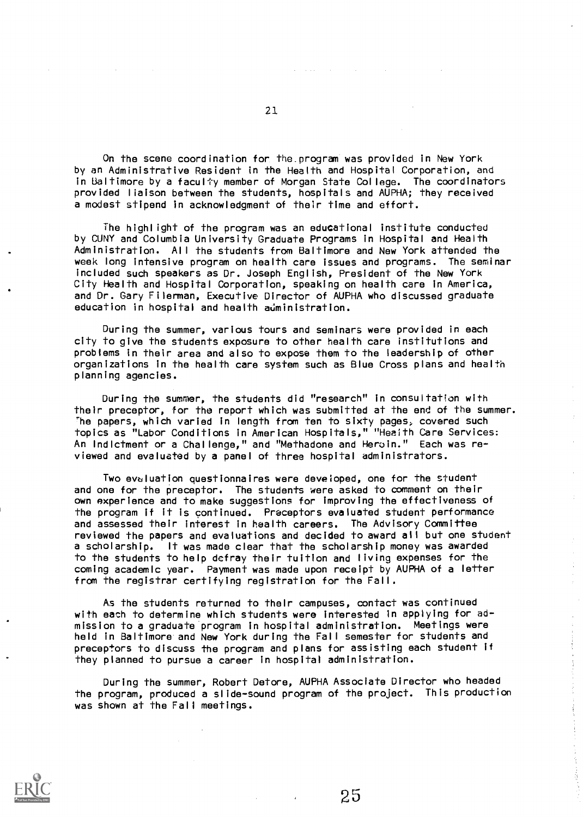On the scene coordination for the.program was provided in New York by an Administrative Resident in the Health and Hospital Corporation, and in Baltimore by a faculty member of Morgan State College. The coordinators provided liaison between the students, hospitals and AUPHA; they received a modest stipend in acknowledgment of their time and effort.

The highlight of the program was an educational institute conducted by CONY and Columbia University Graduate Programs in Hospital and Health Administration. All the students from Baltimore and New York attended the week long intensive program on health care issues and programs. The seminar included such speakers as Dr. Joseph English, President of the New York City Health and Hospital Corporation, speaking on health care in America, and Dr. Gary Filerman, Executive Director of AUPHA who discussed graduate education in hospital and health administration.

During the summer, various tours and seminars were provided in each city to give the students exposure to other health care institutions and problems in their area and also to expose them to the leadership of other organizations in the health care system such as Blue Cross plans and health planning agencies.

During the summer, the students did "research" in consultation with their preceptor, for the report which was submitted at the end of the summer. the papers, which varied in length from ten to sixty pages, covered such topics as "Labor Conditions in American Hospitals," "Health Care Services: An indictment or a Challenge," and "Methadone and Heroin." Each was reviewed and evaluated by a panel of three hospital administrators.

Two evaluation questionnaires were developed, one for the student and one for the preceptor. The students were asked to comment on their own experience and to make suggestions for improving the effectiveness of the program if it is continued. Preceptors evaluated student performance and assessed their interest in health careers. The Advisory Committee reviewed the papers and evaluations and decided to award all but one student a scholarship. It was made clear that the scholarship money was awarded to the students to help defray their tuition and living expenses for the coming academic year. Payment was made upon receipt by AUPHA of a letter from the registrar certifying registration for the Fall.

As the students returned to their campuses, contact was continued with each to determine which students were interested in applying for admission to a graduate program in hospital administration. Meetings were held in Baltimore and New York during the Fall semester for students and preceptors to discuss the program and plans for assisting each student if they planned to pursue a career in hospital administration.

During the summer, Robert Detore, AUPHA Associate Director who headed the program, produced a slide-sound program of the project. This production was shown at the Fall meetings.



25

 $\frac{1}{2}$ 

 $\bar{\psi}$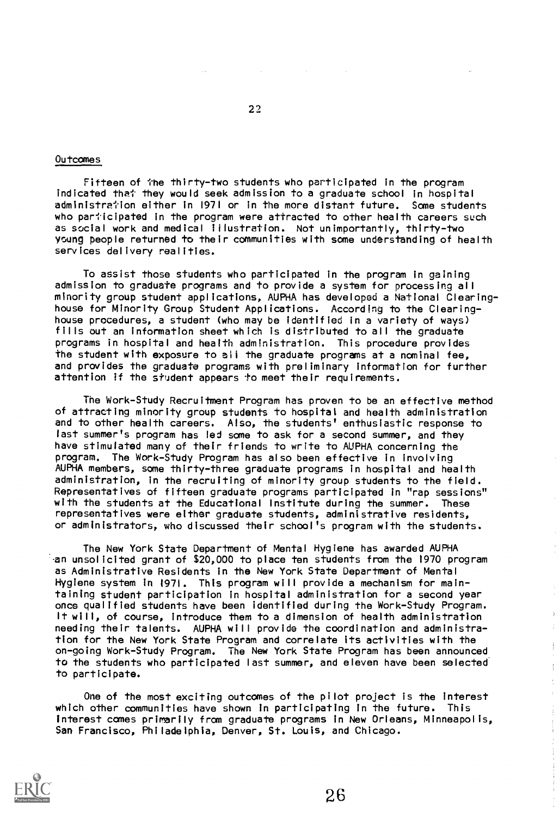#### Outcomes

Fifteen of the thirty-two students who participated in the program indicated that they would seek admission to a graduate school in hospital administration either in 1971 or in the more distant future. Some students who participated in the program were attracted to other health careers such as social work and medical illustration. Not unimportantly, thirty-two young people returned to their communities with some understanding of health services delivery realities.

To assist those students who participated in the program in gaining admission to graduate programs and to provide a system for processing all minority group student applications, AUPHA has developed a National Clearinghouse for Minority Group Student Applications. According to the Clearinghouse procedures, a student (who may be identified in a variety of ways) fills out an information sheet which is distributed to all the graduate programs in hospital and health administration. This procedure provides the student with exposure to all the graduate programs at a nominal fee, and provides the graduate programs with preliminary information for further attention if the student appears to meet their requirements.

The Work-Study Recruitment Program has proven to be an effective method of attracting minority group students to hospital and health administration and to other health careers. Also, the students' enthusiastic response to last summer's program has led some to ask for a second summer, and they have stimulated many of their friends to write to AUPHA concerning the program. The Work-Study Program has also been effective in involving AUPHA members, some thirty-three graduate programs in hospital and health administration, in the recruiting of minority group students to the field. Representatives of fifteen graduate programs participated in "rap sessions" with the students at the Educational Institute during the summer. These representatives were either graduate students, administrative residents, or administrators, who discussed their school's program with the students.

The New York State Department of Mental Hygiene has awarded AUPHA an unsolicited grant of \$20,000 to place ten students from the 1970 program as Administrative Residents in the New York State Department of Mental Hygiene system in 1971. This program will provide a mechanism for maintaining student participation in hospital administration for a second year once qualified students have been identified during the Work-Study Program. It will, of course, introduce them to a dimension of health administration needing their talents. AUPHA will provide the coordination and administration for the New York State Program and correlate its activities with the on-going Work-Study Program. The New York State Program has been announced to the students who participated last summer, and eleven have been selected to participate.

One of the most exciting outcomes of the pilot project is the interest which other communities have shown in participating in the future. This interest comes primarily from graduate programs in New Orleans, Minneapolis, San Francisco, Philadelphia, Denver, St. Louis, and Chicago.



 $\frac{1}{4}$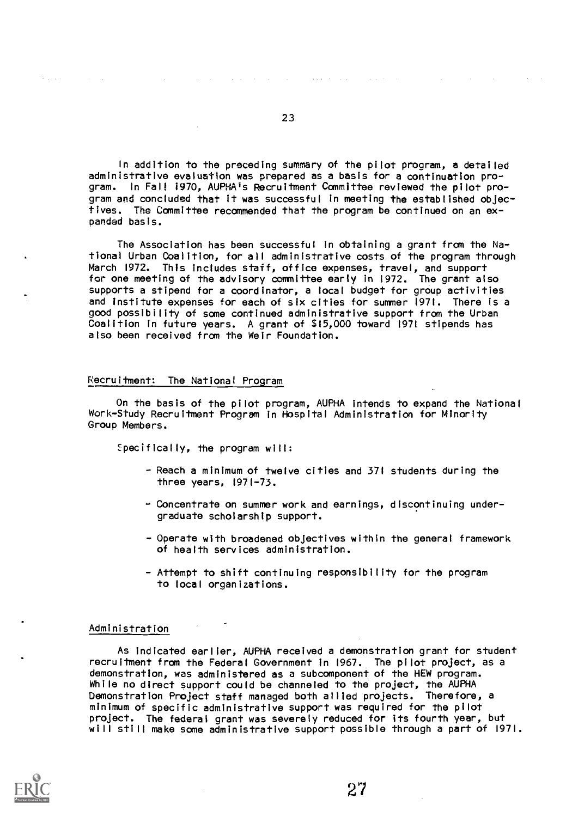In addition to the preceding summary of the pilot program, a detailed administrative evaluation was prepared as a basis for a continuation pro-In Fall 1970, AUPHA's Recruitment Committee reviewed the pilot program and concluded that it was successful in meeting the established objectives. The Committee recommended that the program be continued on an expanded basis.

The Association has been successful in obtaining a grant from the National Urban Coalition, for all administrative costs of the program through March 1972. This includes staff, office expenses, travel, and support for one meeting of the advisory committee early in 1972. The grant also supports a stipend for a coordinator, a local budget for group activities and institute expenses for each of six cities for summer 1971. There is a good possibility of some continued administrative support from the Urban Coalition in future years. A grant of \$15,000 toward 1971 stipends has also been received from the Weir Foundation.

#### Recruitment: The National Program

 $\sim 10^7$ 

On the basis of the pilot program, AUPHA intends to expand the National Work-Study Recruitment Program in Hospital Administration for Minority Group Members.

Specifically, the program will:

- Reach a minimum of twelve cities and 371 students during the three years, 1971-73.
- Concentrate on summer work and earnings, discontinuing undergraduate scholarship support.
- Operate with broadened objectives within the general framework of health services administration.
- Attempt to shift continuing responsibility for the program to local organizations.

#### Administration

 $\langle\sigma_{\rm{max}}\rangle$  and  $\langle\sigma_{\rm{max}}\rangle$ 

As indicated earlier, AUPHA received a demonstration grant for student recruitment from the Federal Government in 1967. The pilot project, as a demonstration, was administered as a subcomponent of the HEW program. While no direct support could be channeled to the project, the AUPHA Demonstration Project staff managed both allied projects. Therefore, a minimum of specific administrative support was required for the pilot project. The federal grant was severely reduced for its fourth year, but will still make some administrative support possible through a part of 1971.

27

 $\alpha$  , and the second contribution of the contribution of the second contribution  $\alpha$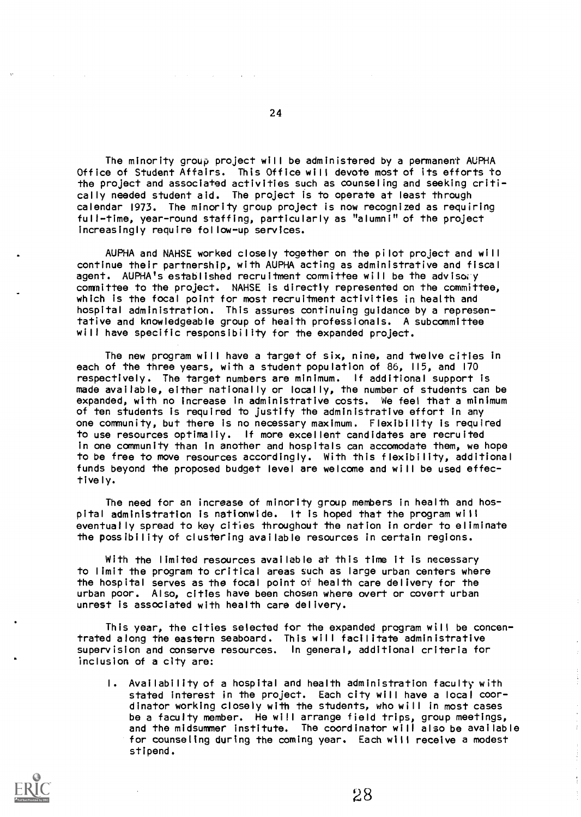The minority group project will be administered by a permanent AUPHA Office of Student Affairs. This Office will devote most of its efforts to the project and associated activities such as counseling and seeking critically needed student aid. The project is to operate at least through calendar 1973. The minority group project is now recognized as requiring full-time, year-round staffing, particularly as "alumni" of the project increasingly require follow-up services.

AUPHA and NAHSE worked closely together on the pilot project and will continue their partnership, with AUPHA acting as administrative and fiscal agent. AUPHA's established recruitment committee will be the advisory committee to the project. NAHSE is directly represented on the committee, which is the focal point for most recruitment activities in health and hospital administration. This assures continuing guidance by a representative and knowledgeable group of heaith professionals. A subcommittee will have specific responsibility for the expanded project.

The new program will have a target of six, nine, and twelve cities in each of the three years, with a student population of 86, 115, and 170 respectively. The target numbers are minimum. If additional support is made available, either nationally or locally, the number of students can be expanded, with no increase in administrative costs. We feel that a minimum of ten students is required to justify the administrative effort in any one community, but there is no necessary maximum. Flexibility is required to use resources optimaliy. If more excellent candidates are recruited in one community than in another and hospitals can accomodate them, we hope to be free to move resources accordingly. With this flexibility, additional funds beyond the proposed budget level are welcome and will be used effectively.

The need for an increase of minority group members in health and hospital administration is nationwide. It is hoped that the program will eventually spread to key cities throughout the nation in order to eliminate the possibility of clustering available resources in certain regions.

With the limited resources available at this time it is necessary to limit the program to critical areas such as large urban centers where the hospital serves as the focal point of health care delivery for the urban poor. Also, cities have been chosen where overt or covert urban unrest is associated with health care delivery.

This year, the cities selected for the expanded program will be concentrated along the eastern seaboard. This will facilitate administrative supervision and conserve resources. In general, additional criteria for inclusion of a city are:

I. Availability of a hospital and health administration faculty with stated interest in the project. Each city will have a local coordinator working closely with the students, who will in most cases be a faculty member. He will arrange field trips, group meetings, and the midsummer institute. The coordinator will also be available for counseling during the coming year. Each will receive a modest stipend.

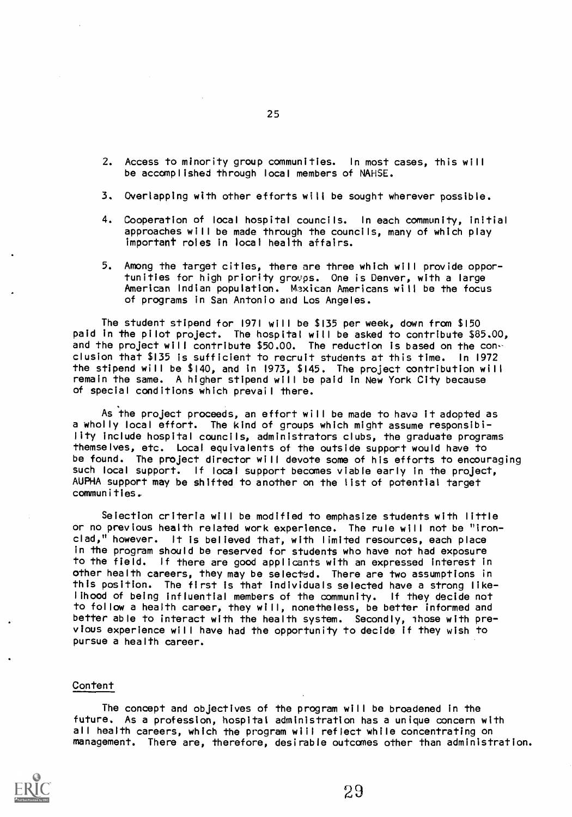- 2. Access to minority group communities. In most cases, this will be accomplished through local members of NAHSE.
- 3. Overlapping with other efforts will be sought wherever possible.
- 4. Cooperation of local hospital councils. In each community, initial approaches will be made through the councils, many of which play important roles in local health affairs.
- 5. Among the target cities, there are three which will provide opportunities for high priority groups. One is Denver, with a large American Indian population. Msxican Americans will be the focus of programs in San Antonio and Los Angeles.

The student stipend for 1971 will be \$135 per week, down from \$150 paid in the pilot project. The hospital will be asked to contribute \$85.00, and the project will contribute \$50.00. The reduction is based on the conclusion that \$135 is sufficient to recruit students at this time. In 1972 the stipend will be \$140, and in 1973, \$145. The project contribution will remain the same. A higher stipend will be paid in New York City because of special conditions which prevail there.

As the project proceeds, an effort will be made to hava it adopted as a wholly local effort. The kind of groups which might assume responsibility include hospital councils, administrators clubs, the graduate programs themselves, etc. Local equivalents of the outside support would have to be found. The project director will devote some of his efforts to encouraging such local support. If local support becomes viable early in the project, AUPHA support may be shifted to another on the list of potential target communities.\_

Seiection criteria will be modified to emphasize students with little or no previous health related work experience. The rule will not be "ironclad," however. It is believed that, with limited resources, each place in the program should be reserved for students who have not had exposure to the field. If there are good applicants with an expressed interest in other health careers, they may be selected. There are two assumptions in this position. The first is that individuals selected have a strong likelihood of being influential members of the community. If they decide not to follow a health career, they will, nonetheless, be better informed and better able to interact with the health system. Secondly, Those with previous experience will have had the opportunity to decide if they wish to pursue a health career.

#### Content

The concept and objectives of the program will be broadened in the future. As a profession, hospital administration has a unique concern with all health careers, which the program wiil reflect while concentrating on management. There are, therefore, desirable outcomes other than administration.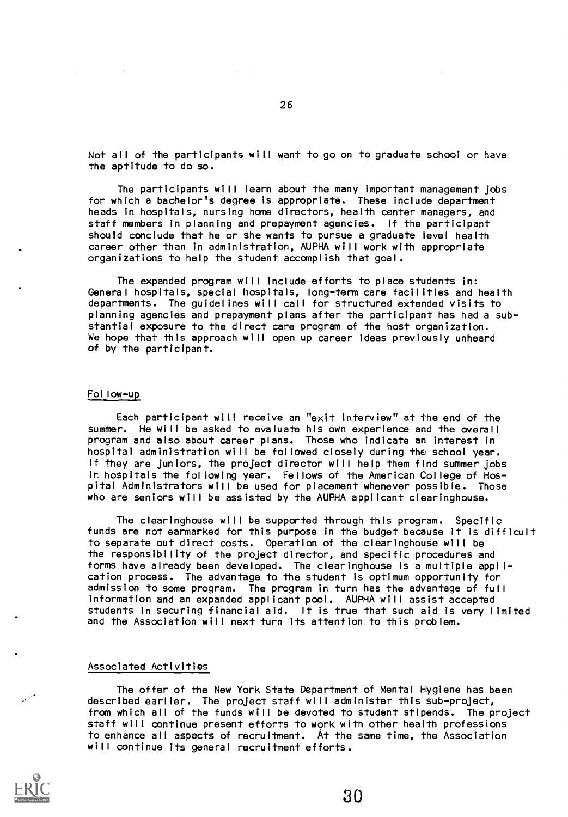Not all of the participants will want to go on to graduate school or have the aptitude to do so.

The participants will learn about the many important management jobs for which a bachelor's degree is appropriate. These include department heads in hospitals, nursing home directors, health center managers, and staff members in planning and prepayment agencies. If the participant should conclude that he or she wants to pursue a graduate level health career other than in administration, AUPHA will work with appropriate organizations to help the student accomplish that goal.

The expanded program will include efforts to place students in: General hospitals, special hospitals, long-term care facilities and health departments. The guidelines will call for structured extended visits to planning agencies and prepayment plans after the participant has had a substantial exposure to the direct care program of the host organization. We hope that this approach will open up career ideas previously unheard of by the participant.

#### Follow-up

Each participant will receive an "exit interview" at the end of the summer. He will be asked to evaluate his own experience and the overall program and also about career plans. Those who indicate an interest in hospital administration will be followed closely during the school year. If they are juniors, the project director will help them find summer jobs ir, hospitals the following year. Fellows of the American College of Hospital Administrators will be used for placement whenever possible. Those who are seniors will be assisted by the AUPHA applicant clearinghouse.

The clearinghouse will be supported through this program. Specific funds are not earmarked for this purpose in the budget because it is difficult to separate out direct costs. Operation of the clearinghoue will be the responsibility of the project director, and specific procedures and forms have already been developed. The clearinghouse is a multiple application process. The advantage to the student is optimum opportunity for admission to some program. The program in turn has the advantage of full information and an expanded applicant pool. AUPHA will assist accepted students in securing financial aid. It is true that such aid is very limited and the Association will next turn its attention to this problem.

#### Associated Activities

The offer of the New York State Department of Mental Hygiene has been described earlier. The project staff will administer this sub-project, from which all of the funds will be devoted to student stipends. The project staff will continue present efforts to work with other health professions to enhance all aspects of recruitment. At the same time, the Association will continue its general recruitment efforts.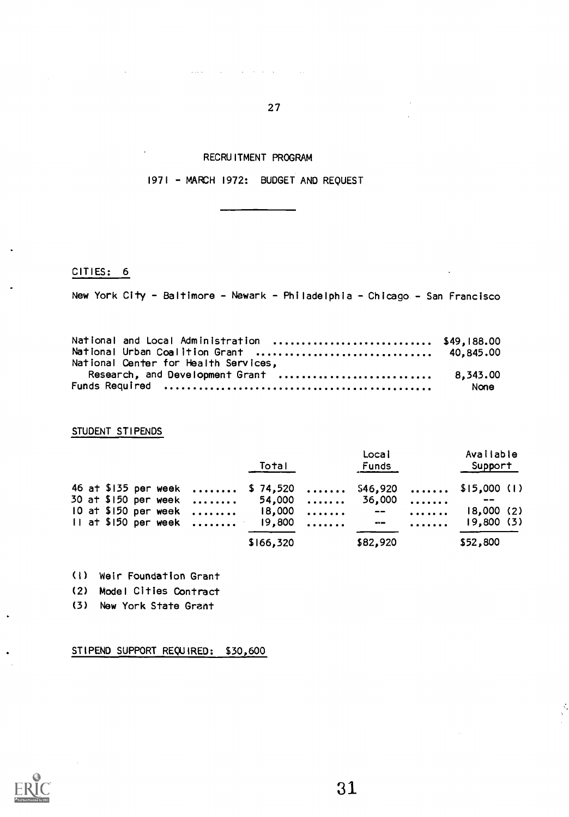RECRUITMENT PROGRAM

 $\mathcal{L}(\mathcal{L})$  , where  $\mathcal{L}(\mathcal{L})$ 

 $\mathcal{L}_{\text{in}}$  and  $\mathcal{L}_{\text{out}}$  . The same  $\mathcal{L}_{\text{out}}$ 

27

1971 - MARCH 1972: BUDGET AND REQUEST

CITIES: 6

New York City - Baltimore - Newark - Philadelphia - Chicago - San Francisco

| National and Local Administration  \$49,188.00 |      |  |
|------------------------------------------------|------|--|
| National Urban Coalition Grant  40,845.00      |      |  |
| National Center for Health Services,           |      |  |
| Research, and Development Grant  8,343.00      |      |  |
|                                                | None |  |

STUDENT STIPENDS

|  |  |  | Total                                | Local<br>Funds | Available<br>Support                                    |  |
|--|--|--|--------------------------------------|----------------|---------------------------------------------------------|--|
|  |  |  | 30 at \$150 per week  54,000  36,000 |                | 46 at \$135 per week  \$ 74,520  \$46,920  \$15,000 (1) |  |
|  |  |  |                                      |                | 10 at \$150 per week  18,000  --  18,000 (2)            |  |
|  |  |  | 11 at \$150 per week $19,800$ $ -$   |                | 19,800(3)                                               |  |
|  |  |  | \$166,320                            | \$82,920       | \$52,800                                                |  |

(I) Weir Foundation Grant

(2) Model Cities Contract

(3) New York State Grant

STIPEND SUPPORT REQUIRED: \$30,600



31

÷.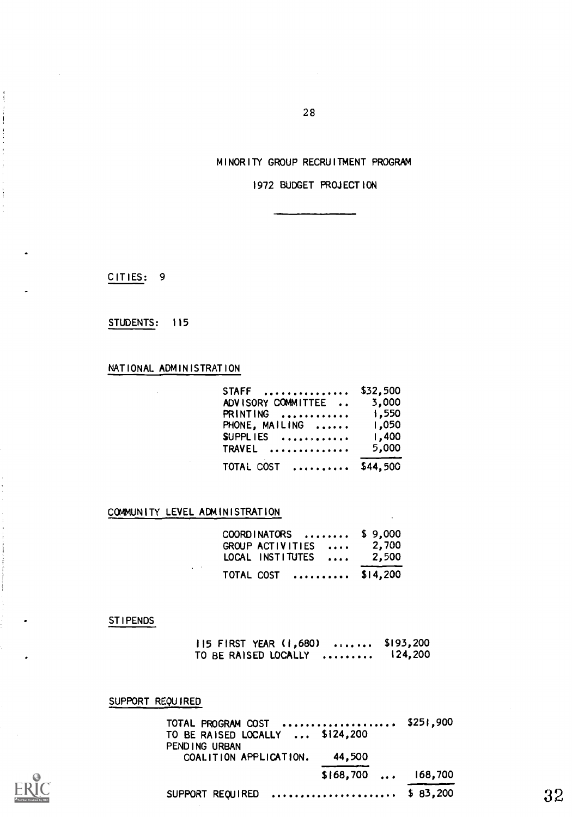### MINORITY GROUP RECRUITMENT PROGRAM

1972 BUDGET PROJECTION

CITIES: 9

#### STUDENTS: 115

# NATIONAL ADMINISTRATION

| STAFF  \$32,500           |       |  |
|---------------------------|-------|--|
| ADVISORY COMMITTEE  3,000 |       |  |
| PRINTING  1,550           |       |  |
| PHONE, MAILING  1,050     |       |  |
| $SUPPLIES$ 1,400          |       |  |
| <b>TRAVEL</b>             | 5,000 |  |
| TOTAL COST  \$44,500      |       |  |

# COMMUNITY LEVEL ADMINISTRATION

| $COORDINATORS$ \$ 9,000                     |       |
|---------------------------------------------|-------|
| GROUP ACTIVITIES<br>LOCAL INSTITUTES  2,500 | 2,700 |
| TOTAL COST  \$14,200                        |       |

#### STIPENDS

115 FIRST YEAR (1,680) ....... \$193,200<br>TO BE RAISED LOCALLY ......... 124,200 TO BE RAISED LOCALLY .........

SUPPORT REQUIRED

TOTAL PROGRAM COST \$251,900 TO BE RAISED LOCALLY ... \$124,200 PENDING URBAN COALITION APPLICATION. 44,500 \$168,700 ... 168,700 SUPPORT REQUIRED  $\ldots \ldots \ldots \ldots \ldots \ldots$  \$ 83,200 32

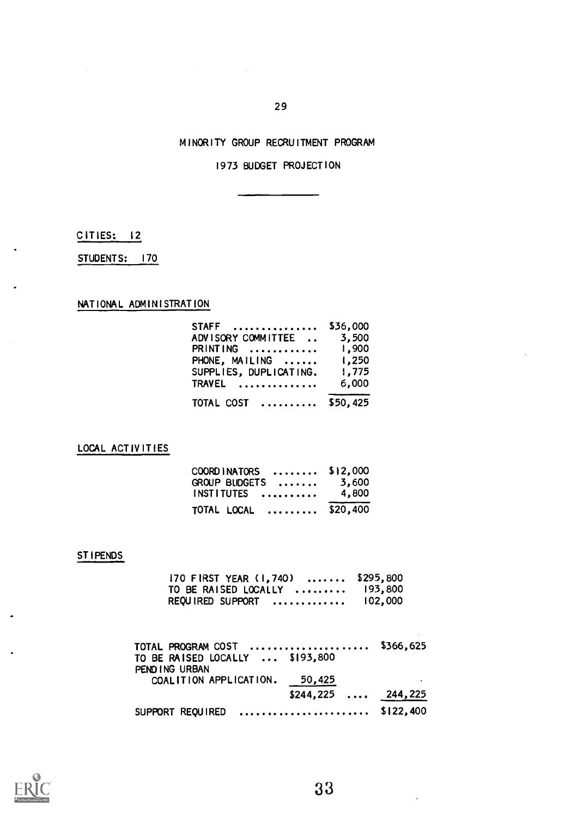# MINORITY GROUP RECRUITMENT PROGRAM

# 1973 BUDGET PROJECTION

CITIES: 12

STUDENTS: 170

NATIONAL ADMINISTRATION

| $STAFF$ \$36,000             |       |  |
|------------------------------|-------|--|
| ADVISORY COMMITTEE  3,500    |       |  |
| PRINTING  1,900              |       |  |
| PHONE, MAILING  1,250        |       |  |
| SUPPLIES, DUPLICATING. 1,775 |       |  |
| <b>TRAVEL </b>               | 6,000 |  |
| TOTAL COST  \$50,425         |       |  |

LOCAL ACTIVITIES

| COORDINATORS  \$12,000 |       |
|------------------------|-------|
| GROUP BUDGETS  3,600   |       |
| INSTITUTES             | 4.800 |
| TOTAL LOCAL  \$20,400  |       |

# STIPENDS

| 170 FIRST YEAR (1,740)  \$295,800                   |         |
|-----------------------------------------------------|---------|
| TO BE RAISED LOCALLY $\ldots \ldots \ldots$ 193,800 |         |
| REQUIRED SUPPORT                                    | 102,000 |

| TOTAL PROGRAM COST  \$366,625   |                    |  |
|---------------------------------|--------------------|--|
| TO BE RAISED LOCALLY  \$193,800 |                    |  |
| PEND ING URBAN                  |                    |  |
| COALITION APPLICATION. 50,425   |                    |  |
|                                 | $$244,225$ 244,225 |  |
| SUPPORT REQUIRED  \$122,400     |                    |  |



33

÷.

 $\sim 100$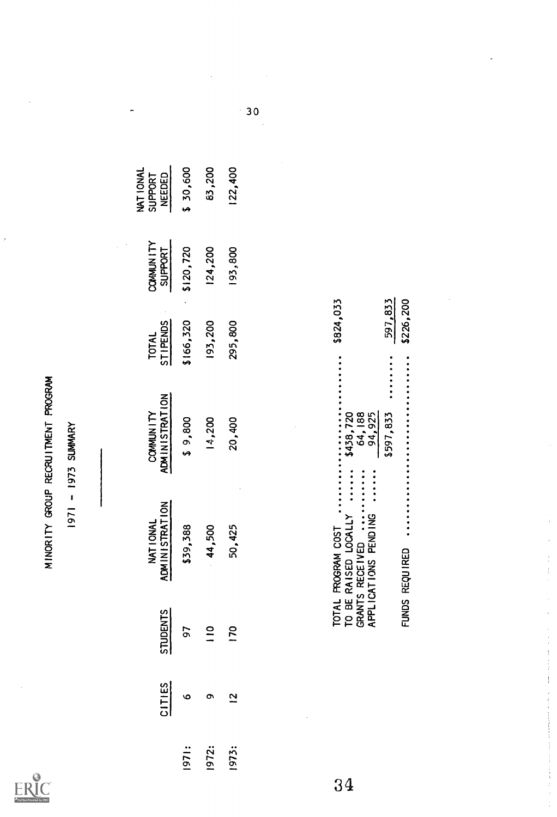$\frac{1}{2}$ 

|       |                |                    |                                                                                                             | MINORIII GROOF KECKU HMENI FROGRAM<br>1971 - 1973 SUMMARY |                                        |                                    |                                |
|-------|----------------|--------------------|-------------------------------------------------------------------------------------------------------------|-----------------------------------------------------------|----------------------------------------|------------------------------------|--------------------------------|
|       | CITIES         | <b>STUDENTS</b>    | <b>ADMINISTRATION</b><br>NAT I ONAL                                                                         | COMMUNITY<br>ADMINISTRATION                               | TOTAL<br>STIPENDS                      | <b>COMMUNITY</b><br><b>SUPPORT</b> | NAT IONAL<br>NEEDED<br>SUPPORT |
| 1971: | $\circ$        |                    | \$39,388                                                                                                    | \$9,800                                                   | \$166,320                              | \$120,720                          | \$ 30,600                      |
| 1972: | $\sigma$       | 021<br>0111<br>021 | 44,500                                                                                                      | 14,200                                                    | 193,200                                | 124,200                            | 83,200                         |
| 1973: | $\overline{2}$ |                    | 50,425                                                                                                      | 20,400                                                    | 295,800                                | 193,800                            | 122,400                        |
| 34    |                |                    | --------<br>------<br>TO BE RAISED LOCALLY<br>GRANTS RECEIVED<br>APPLICATIONS PENDING<br>TOTAL PROGRAM COST | \$438,720<br>64,188<br>94,925                             | \$824,033<br>$\ddot{\cdot}$            |                                    |                                |
|       |                |                    | FUNDS REQUIRED                                                                                              | \$597,833                                                 | \$226,200<br>597,833<br>$\ddot{\cdot}$ |                                    |                                |
|       |                |                    |                                                                                                             |                                                           |                                        |                                    |                                |

| \$226,20 |               | FUNDS REQUIRED                                                                        |
|----------|---------------|---------------------------------------------------------------------------------------|
| 597,83   | <br>\$597,833 |                                                                                       |
|          | 94,925        | $\frac{1}{2}$ = $\frac{1}{2}$ = $\frac{1}{2}$ = $\frac{1}{2}$<br>APPLICATIONS PENDING |
|          | 64, 188       | <b></b><br>GRANTS RECEIVED                                                            |
|          | \$438,720     | <b>•••••••</b><br>TO BE RAISED LOCALLY                                                |
| \$824,03 |               | TOTAL PROGRAM COST                                                                    |
|          |               |                                                                                       |

 $\frac{1}{3}$ 

 $\mathbf{30}$ 

J,

 $\overline{ }$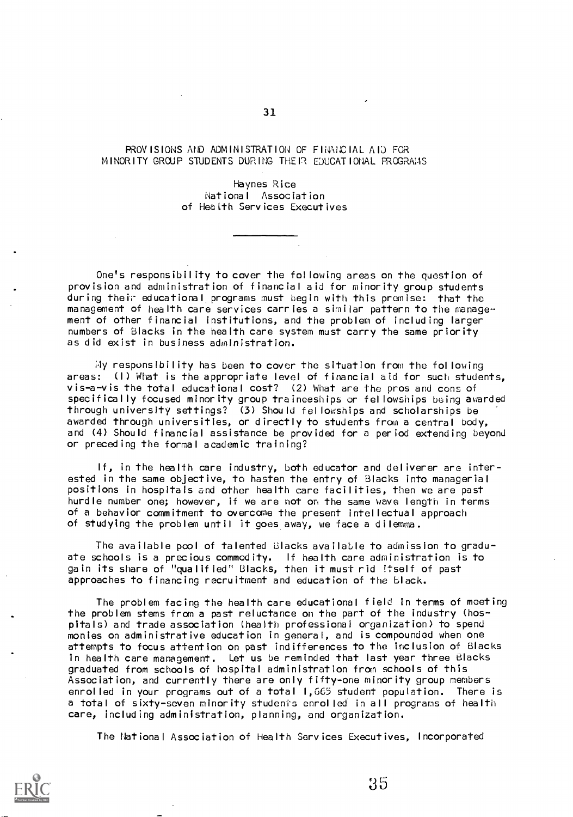#### AlOVISIONS AND ADMINISTRATION OF FINANCIAL AID FOR MINORITY GROUP STUDENTS DURING THE 1? EDUCATIONAL PROGRAMS

Haynes Rice National Association of Health Services Executives

One's responsibility to cover the following areas on the question of provision and administration of financial aid for minority group students during their educational, programs must begin with this premise: that the management of health care services carries a similar pattern to the management of other financial institutions, and the problem of including larger numbers of Blacks in the health care system must carry the same priority as did exist in business administration.

My responsibility has been to cover the situation from the following areas: (I) What is the appropriate level of financial aid for such students, vis-a-vis the total educational cost? (2) What are the pros and cons of specifically focused minority group traineeships or fellowships being awarded through university settings? (3) Should fellowships and scholarships be awarded through universities, or directly to students from a central body, and (4) Should financial assistance be provided for a period extending beyond or preceding the formal academic training?

If, in the health care industry, both educator and deliverer are interested in the same objective, to hasten the entry of Blacks into managerial positions in hospitals and other health care facilities, then we are past hurdle number one; however, if we are not on the same wave length in terms of a behavior commitment to overcome the present intellectual approach of studying the problem until it goes away, we face a dilemma.

The available p $\infty$ l of talented Blacks available to admission to graduate schools is a precious commodity. If health care administration is to gain its share of "qualified" Blacks, then it must rid Itself of past approaches to financing recruitment and education of the black.

The problem facing the health care educational field in terms of meeting the problem stems from a past reluctance on the part of the industry (hospitals) and trade association (health professional organization) to spend monies on administrative education in general, and is compounded when one attempts to focus attention on past indifferences to the inclusion of Blacks in health care management. Let us be reminded that last year three Blacks graduated from schools of hospital administration from schools of this Association, and currently there are only fifty-one minority group members enrolled in your programs out of a total 1,665 student population. There is a total of sixty-seven minority students enrolled in all programs of health care, including administration, planning, and organization.

The National Association of Health Services Executives, Incorporated

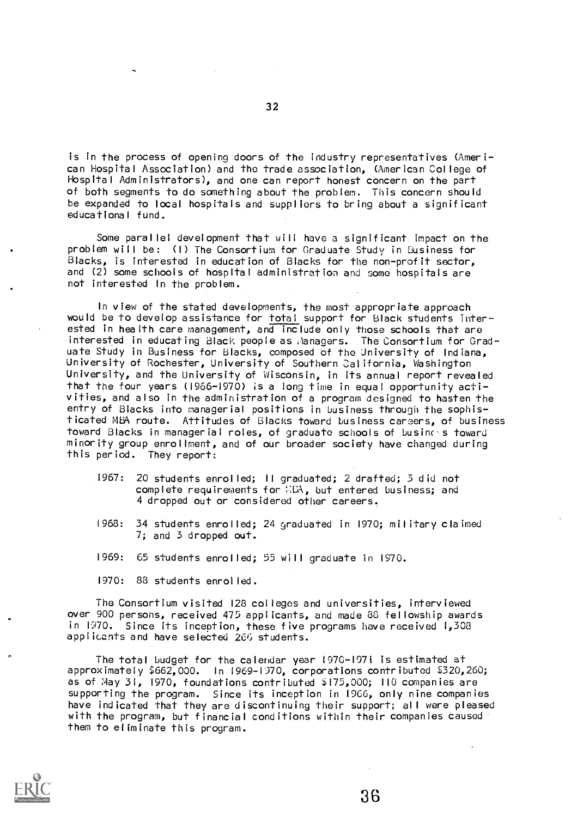is in the process of opening doors of the industry representatives (American Hospital Association) and the trade association, (American College of Hospital Administrators), and one can report honest concern on the part of both segments to do something about the problem. This concern should be expanded to local hospitals and suppliers to bring about a significant educational fund.

Some parallel development that will have a significant impact on the problem will be: (I) The Consortium for Graduate Study in business for Blacks, is interested in education of Blacks for the non-profit sector, and (2) some schools of hospital administration and some hospitals are not interested In the problem.

In view of the stated developments, the most appropriate approach would be to develop assistance for total support for Black students interested in health care management, and include only those schools that are interested in educating Black people as ,lanagers. The Consortium for Graduate Study in Business for Blacks, composed of the University of Indiana, University of Rochester, University of Southern California, Washington University, and the University of Wisconsin, in its annual report revealed that the four years (1966-1970) is a long time in equal opportunity activities, and also in the administration of a program designed to hasten the entry of Blacks into managerial positions in business through the sophisticated MBA route. Attitudes of Blacks toward business careers, of business toward Blacks in managerial roles, of graduate schools of businc-s toward minority group enrollment, and of our broader society have changed during this period. They report:

- 1967: 20 students enrolled; II graduated; 2 drafted; 3 did not complete requirements for  $::LA$ , but entered business; and 4 dropped out or considered other careers.
- 1963: 34 students enrolled; 24 graduated in 1970; military claimed 7; and 3 dropped out.
- 1969: 65 students enrolled; 55 will graduate in 1970.

1970: 83 students enrolled.

The Consortium visited 128 colleges and universities, interviewed over 900 persons, received 475 applicants, and made 80 fellowship awards in 1970. Since its inception, these five programs have received 1,308 applicants and have selected 266 students.

The total budget for the calendar year 1970-1971 is estimated at approximately \$662,000. In 1969-1970, corporations contributed \$320,260; as of May 31, 1970, foundations contributed 175,000; 110 companies are supporting the program. Since its inception in 1966, only nine companies have indicated that they are discontinuing their support; all were pleased with the program, but financial conditions within their companies caused them to eliminate this program.

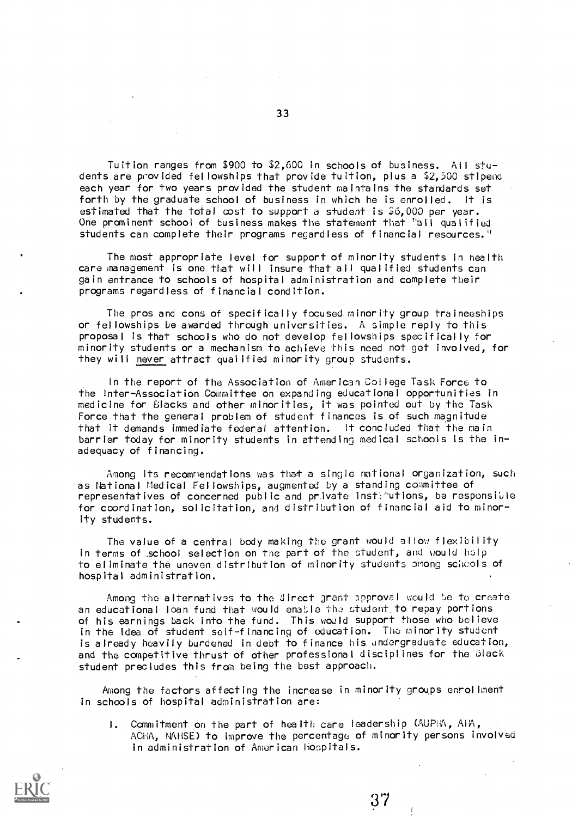Tuition ranges from \$900 to \$2,600 in schools of business. All students are provided fellowships that provide tuition, plus a \$2,500 stipend each year for two years provided the student maintains the standards set forth by the graduate school of business in which he is enrolled. It is estimated that the total cost to support a student is  $$6,000$  per year. One prominent school of business makes the statement that "all qualified students can complete their programs regardless of financial resources."

The most appropriate level for support of minority students in health care management is one that will insure that all qualified students can gain entrance to schools of hospital administration and complete their programs regardless of financial condition.

The pros and cons of specifically focused minority group traineeships or fellowships be awarded through universities. A simple reply to this proposal is that schools who do not develop fellowships specifically for minority students or a mechanism to achieve this need not get involved, for they will never attract qualified minority group students.

In the report of the Association of American College Task Force to the Inter-Association Committee on expanding educational opportunities in medicine for Glacks and other minorities, it was pointed out by the Task Force that the general problem of student finances is of such magnitude that it demands immediate federal attention. It concluded that the main barrier today for minority students in attending medical schools is the inadequacy of financing.

Among its recommendations was that a single national organization, such as National Medical Fellowships, augmented by a standing cownittee of representatives of concerned public and private inst:'utions, be responsible for coordination, solicitation, and distribution of financial aid to minority students.

The value of a central body making the grant would allow flexibility in terms of school selection on the part of the student, and would help to eliminate the uneven distribution of minority students emong schcols of hospital administration.

Among the alternatives to the direct grant approval would be to create an educational loan fund that would enable the student, to repay portions of his earnings back into the fund. This would support those who believe in the idea of student self-financing of education. The minority student is already heavily burdened in debt to finance his undergraduate education, and the competitive thrust of other professional disciplines for the Black student precludes this from being the best approach.

Among the factors affecting the increase in minority groups enrollment in schools of hospital administration are:

I. Commitment on the part of health care leadership (AUPIA, AIA, ACHA, NAHSE) to improve the percentage of minority persons involved in administration of American hospitals.

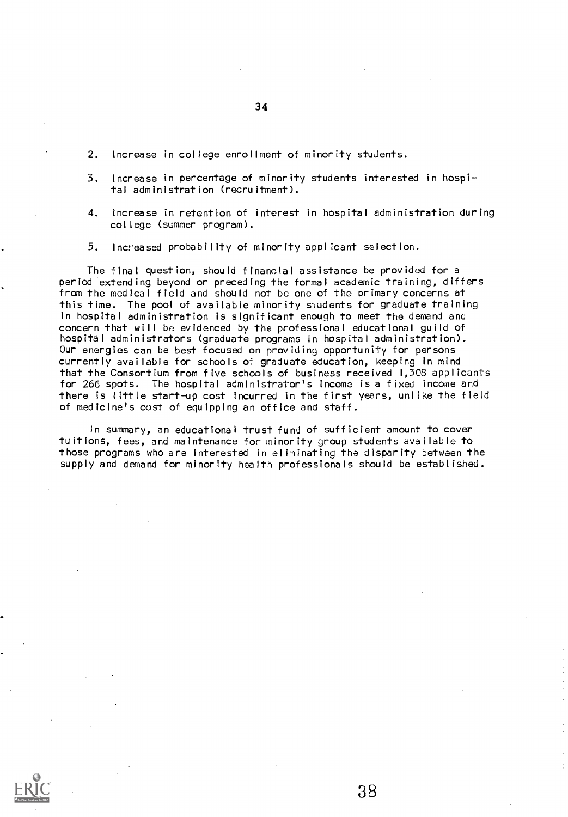- 2. Increase in college enrollment of minority students.
- 3. Increase in percentage of minority students interested in hospital administration (recruitment).
- 4. increase in retention of interest in hospital administration during college (summer program).
- 5. Increased probability of minority applicant selection.

The final question, should financial assistance be provided for a period extending beyond or preceding the formal academic training, differs from the medical field and should not be one of the primary concerns at this time. The pool of available minority students for graduate training in hospital administration is significant enough to meet the demand and concern that will be evidenced by the professional educational guild of hospital administrators (graduate programs in hospital administration). Our energies can be best focused on providing opportunity for persons currently available for schools of graduate education, keeping in mind that the Consortium from five schools of business received 1,308 applicants for 266 spots. The hospital administrator's income is a fixed income and there is little start-up cost incurred in the first years, unlike the field of medicine's cost of equipping an office and staff.

In summary, an educational trust fund of sufficient amount to cover tuitions, fees, and maintenance for minority group students available to those programs who are interested in eliminating the disparity between the supply and demand for minority health professionals should be established.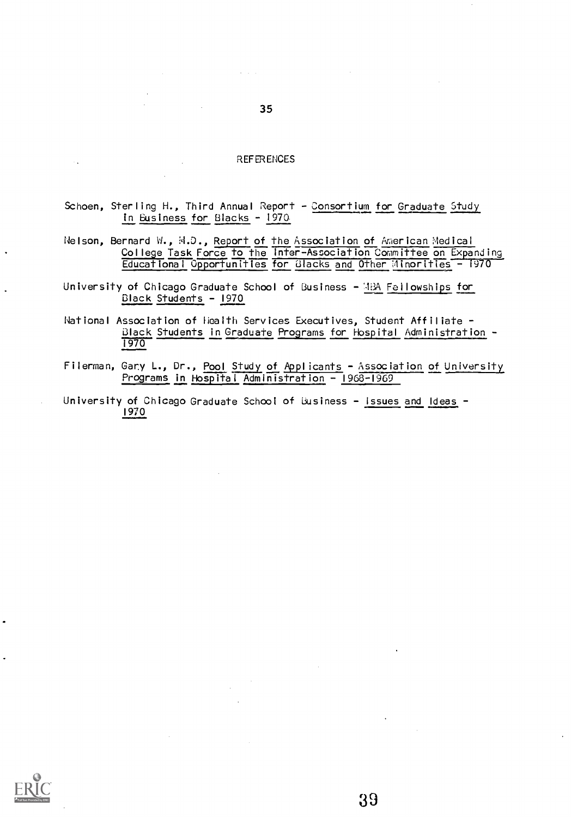#### **REFERENCES**

- Schoen, Sterling H., Third Annual Report Consortium for Graduate Study in Business for Blacks - 1970
- Nelson, Bernard W., M.D., Report of the Association of American Medical College Task Force to the Inter-Association Committee on Expanding Educational Opportunities for 'Blacks and Other Minorities - 1970
- University of Chicago Graduate School of Business -'13A Feilowships for Black Students - 1970
- National Association of Health Services Executives, Student Affiliate -Black Students in Graduate Programs for Hospital Administration - 1970
- Filerman, Gary L., Dr., Pool Study of Applicants Association of University Programs in Hospital Administration - 1968-1969
- University of Chicago Graduate School of Business Issues and Ideas -1970



 $\mathcal{A}=\mathcal{A}=\mathcal{A}$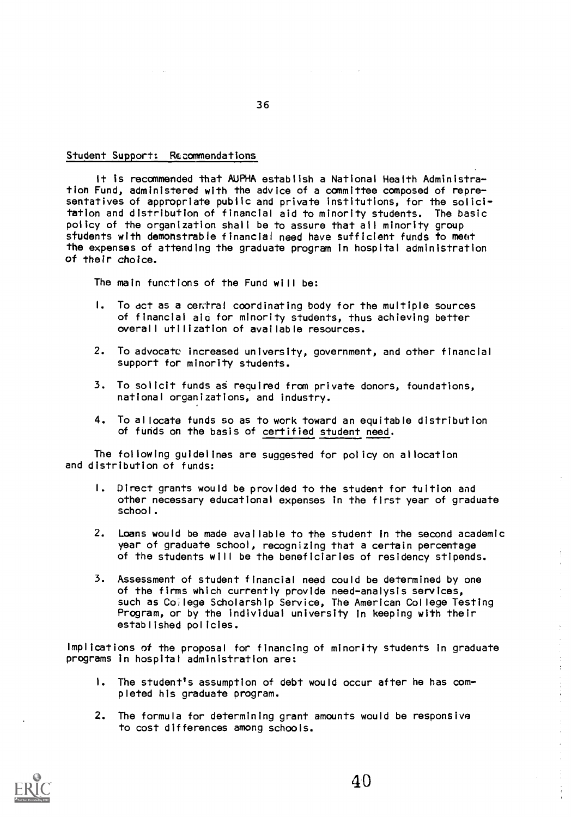#### Student Support: Recommendations

It is recommended that AUPHA establish a National Health Administration Fund, administered with the advice of a committee composed of representatives of appropriate public and private institutions, for the solicitation and distribution of financial aid to minority students. The basic policy of the organization shall be to assure that all minority group students with demonstrable financial need have sufficient funds to meet the expenses of attending the graduate program in hospital administration of their choice.

The main functions of the Fund will be:

- I. To act as a central coordinating body for the multiple sources of financial aio for minority students, thus achieving better overall utilization of available resources.
- 2. To advocate increased university, government, and other financial support for minority students.
- 3. To solicit funds as required from private donors, foundations, national organizations, and industry.
- 4. To allocate funds so as to work toward an equitable distribution of funds on the basis of certified student need.

The following guidelines are suggested for policy on allocation and distribution of funds:

- I. Direct grants would be provided to the student for tuition and other necessary educational expenses in the first year of graduate school.
- 2. Loans would be made available to the student in the second academic year of graduate school, recognizing that a certain percentage of the students will be the beneficiaries of residency stipends.
- 3. Assessment of student financial need could be determined by one of the firms which currently provide need-analysis services, such as Co;lege Scholarship Service, The American College Testing Program, or by the individual university in keeping with their established policies.

Implications of the proposal for financing of minority students in graduate programs in hospital administration are:

- I. The student's assumption of debt would occur after he has completed his graduate program.
- 2. The formula for determining grant amounts would be responsive to cost differences among schools.



36

à.

 $\label{eq:2} \begin{array}{l} \mathcal{L}_{\mathcal{A}}(\mathcal{A}) = \mathcal{L}_{\mathcal{A}}(\mathcal{A}) \end{array}$ 

 $\frac{1}{2}$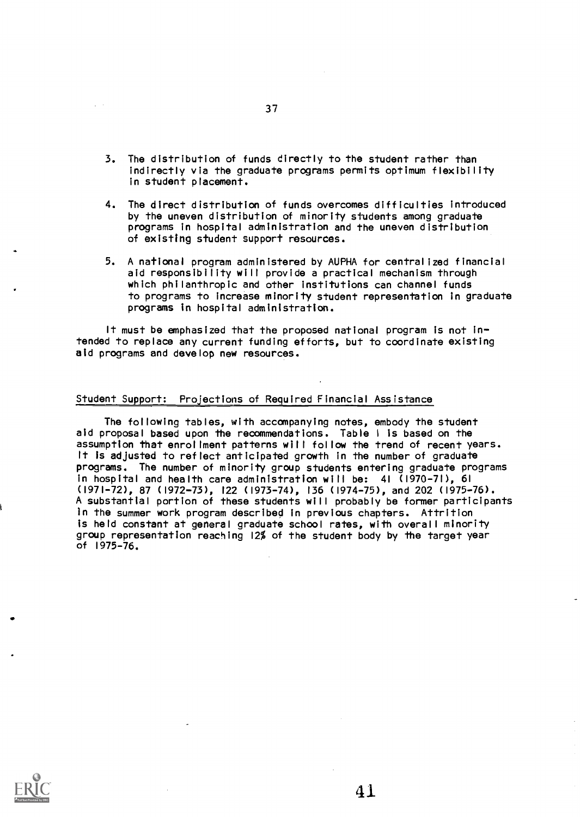- 3. The distribution of funds directly to the student rather than indirectly via the graduate programs permits optimum flexibility in student placement.
- 4. The direct distribution of funds overcomes difficulties introduced by the uneven distribution of minority students among graduate programs in hospital administration and the uneven distribution of existing student support resources.
- 5. A national program administered by AUPHA for centralized financial aid responsibility will provide a practical mechanism through which philanthropic and other institutions can channel funds to programs to increase minority student representation in graduate programs in hospital administration.

It must be emphasized that the proposed national program is not intended to replace any current funding efforts, but to coordinate existing aid programs and develop new resources.

#### Student Support: Projections of Required Financial Assistance

The following tables, with accompanying notes, embody the student aid proposal based upon the recommendations. Table <sup>I</sup> is based on the assumption that enrollment patterns will follow the trend of recent years. It is adjusted to reflect anticipated growth in the number of graduate programs. The number of minority group students entering graduate programs in hospital and health care administration will be: 41 (1970-71), 61 (1971-72), 87 (1972-73), 122 (1973-74), 136 (1974-75), and 202 (1975-76). A substantial portion of these students will probably be former participants in the summer work program described in previous chapters. Attrition is held constant at general graduate school rates, with overall minority group representation reaching 12% of the student body by the target year of 1975-76.

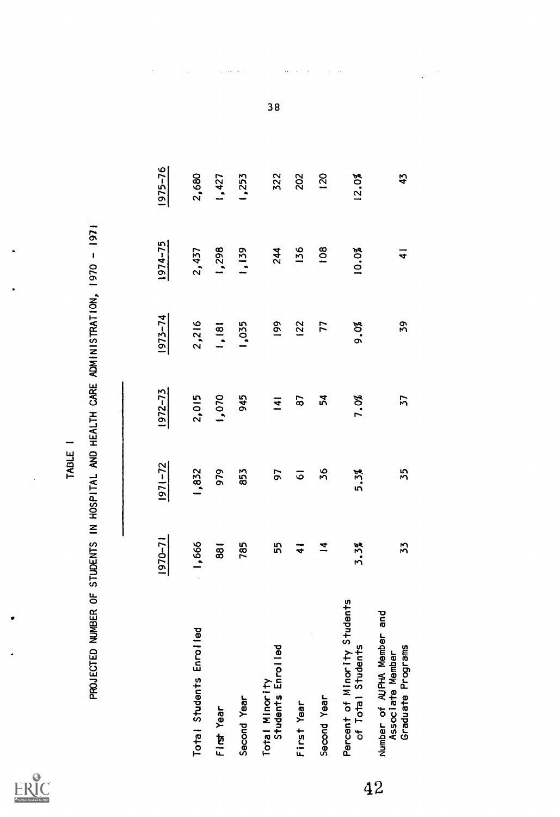$\sum_{\mathbf{A}_{\text{full test Proof of by EBC}}}$ 

|                                                                              | 1970-71        | $1971 - 72$        | $1972 - 73$    | $1973 - 74$ | 1974-75        | 1975-76 |
|------------------------------------------------------------------------------|----------------|--------------------|----------------|-------------|----------------|---------|
| Total Students Enrolled                                                      | 1,666          | 1,832              | 2,015          | 2,216       | 2,437          | 2,680   |
| First Year                                                                   | 881            | 979                | 1,070          | 1,181       | 1,298          | 1,427   |
| Second Year                                                                  | 785            | 853                | 945            | 1,035       | 1,139          | 1,253   |
| Total Minority<br>Students Enrolled                                          | 55             | 57                 | $\overline{1}$ | 199         | 244            | 322     |
| First Year                                                                   | $\overline{4}$ | $\overline{\circ}$ | 67             | 122         | 136            | 202     |
| Second Year                                                                  | $\overline{4}$ | 36                 | 54             | 77          | 108            | 120     |
| Percent of Minority Students<br>of Total Students                            | 3.3%           | 5.3%               | 7.0%           | 9.0%        | 10.0%          | 12.0%   |
| bue<br>Number of AUPHA Member<br>Graduate Programs<br>Associate Member<br>42 | 33             | 55                 | 57             | 59          | $\overline{4}$ | 43      |

38

 $\ddot{\phantom{a}}$ 

 $\ddot{\phantom{a}}$ 

 $\mathcal{L}_{\mathcal{I}}$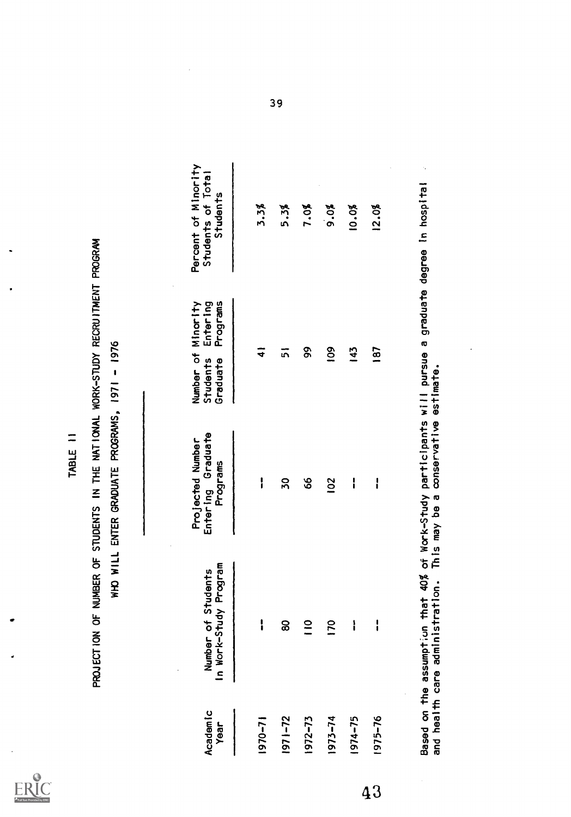$ERIC<sub>other</sub>$ 

TABLE II<br>PROJECTION OF NUMBER OF STUDENTS IN THE NATIONAL WORK-STUDY RECRUITMENT PROGRAM<br>WHO WILL ENTER GRADUATE PROGRAMS, 1971 - 1976

|    | Academic<br>Year | In Work-Study Program<br>Number of Students                          | Entering Graduate<br>Projected Number<br>Programs | Programs<br>Enter ing<br>Number of Minority<br>Students<br>Graduate           | Percent of Minority<br>Students of Total<br>Students |
|----|------------------|----------------------------------------------------------------------|---------------------------------------------------|-------------------------------------------------------------------------------|------------------------------------------------------|
|    | $1970 - 71$      | ļ                                                                    | i                                                 | ₹                                                                             | 3.3%                                                 |
|    | 1971-72          | 8                                                                    | 50                                                | ភ                                                                             | 5.3%                                                 |
|    | 1972-73          | 0                                                                    | 89                                                | ვ<br>გ                                                                        | 7.0%                                                 |
|    | 1973-74          | 9                                                                    | 102                                               | $\frac{8}{2}$                                                                 | 9.0%                                                 |
|    | 1974-75          | ļ                                                                    | i                                                 | 143                                                                           | 10.0%                                                |
| 43 | 1975-76          | ı                                                                    | ¦                                                 | 187                                                                           | 12.0%                                                |
|    |                  | Based on the assumption                                              |                                                   | that 40% of Work-Study participants will pursue a graduate degree in hospital | Ĵ,                                                   |
|    |                  | and health care administration. This may be a conservative estimate. |                                                   |                                                                               |                                                      |

Ŷ,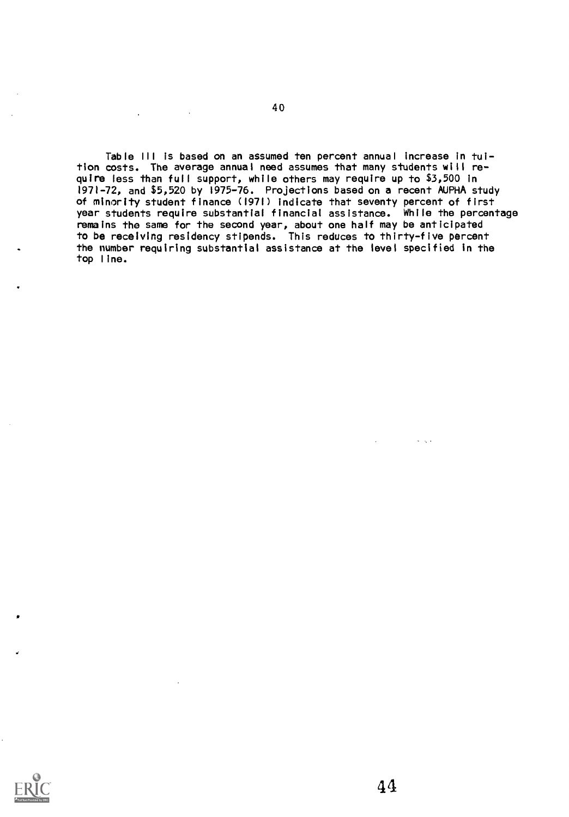Table Ill is based on an assumed ten percent annual increase in tuition costs. The average annual need assumes that many students will require less than full support, while others may require up to \$3,500 in 1971-72, and \$5,520 by 1975-76. Projections based on a recent AUPHA study of minority student finance (1971) indicate that seventy percent of first year students require substantial financial assistance. While the percentage remains the same for the second year, about one half may be anticipated to be receiving residency stipends. This reduces to thirty-five percent the number requiring substantial assistance at the level specified in the top line.



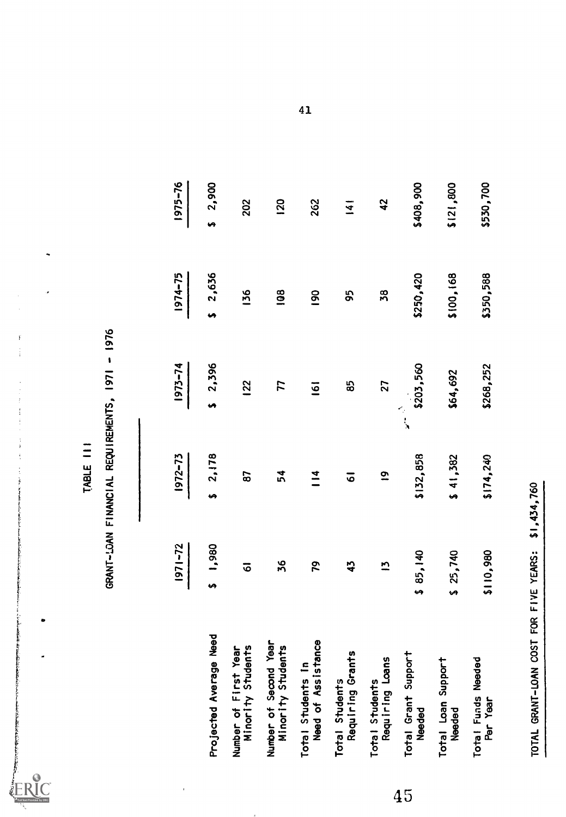$\begin{array}{c} \mathbf{1} \\ \mathbf{1} \\ \mathbf{1} \end{array}$ 

|    |                                            | 1971-72              | 1972-73              | 1973-74        | 1974-75        | $1975 - 76$ |
|----|--------------------------------------------|----------------------|----------------------|----------------|----------------|-------------|
|    | Projected Average Need                     | 1,980                | 2,178                | 1, 2, 396      | \$2,636        | 2,900<br>u  |
|    | Number of First Year<br>Minority Students  | $\overline{\bullet}$ | 67                   | <b>122</b>     | 136            | 202         |
|    | Number of Second Year<br>Minority Students | 36                   | 54                   | 77             | $\overline{9}$ | <b>120</b>  |
|    | Need of Assistance<br>Total Students In    | 20                   | $\frac{4}{11}$       | $\overline{6}$ | <b>90</b>      | 262         |
|    | Requiring Grants<br>Total Students         | 45                   | $\overline{\circ}$   | 85             | 95             | 141         |
|    | Requiring Loans<br>Total Students          | N                    | $\tilde{\mathbf{c}}$ | 27             | 38             | 42          |
| 45 | Total Grant Support<br>Needed              | \$85,140             | \$132,858            | \$203,560      | \$250,420      | \$408,900   |
|    | Total Loan Support<br>Needed               | \$25,740             | \$41,382             | \$64,692       | \$100,168      | \$121,800   |
|    | Total Funds Needed<br>Per Year             | \$110,980            | \$174,240            | \$268,252      | \$350,588      | \$530,700   |
|    | TOTAL GRANT-LOAN COST                      | FOR FIVE YEARS:      | \$1,434,760          |                |                |             |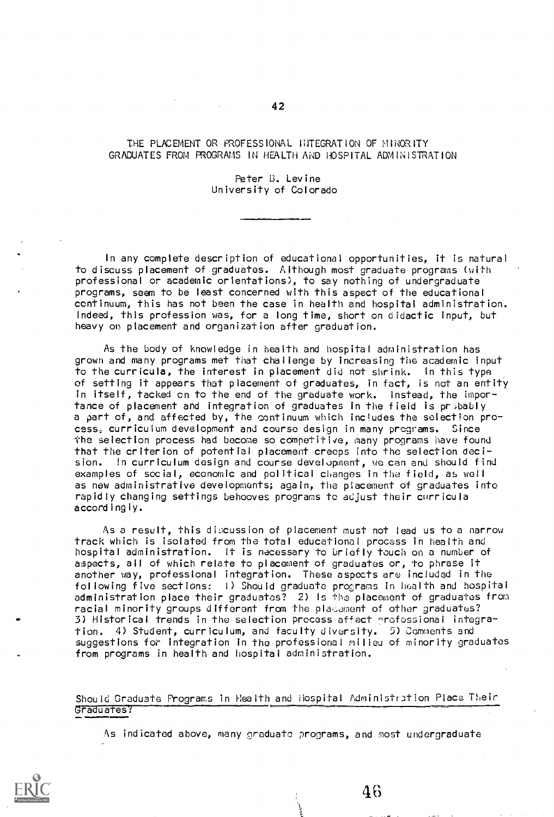#### THE PLACEMENT OR PROFESSIONAL INTEGRATION OF MINORITY GRADUATES FROM PROGRAMS IN HEALTH AND HOSPITAL ADMINISTRATION

#### Peter B. Levine University of Colorado

In any complete description of educational opportunities, it is natural to discuss placement of graduates. Although most graduate programs (with professional or academic orientations), to say nothing of undergraduate programs, seem to be least concerned with this aspect of the educational continuum, this has not been the case in health and hospital administration. Indeed, this profession was, for a long time, short on didactic input, but heavy on placement and organization after graduation.

As the body of knowledge in health and hospital administration has grown and many programs met that challenge by increasing the academic input to the curricula, the interest in placement did not shrink. In this type of setting it appears that placement of graduates, in fact, is not an entity in itself, tacked en to the end of the graduate work. Instead, the importance of placement and integration of graduates in the field is pr.bably a part of, and affected by, the continuum which includes the selection process, curriculum development and course design in many programs. Since the selection process had become so competitive, many programs have found that the criterion of potential placement creeps into the selection decision. In curriculum design and course development, we can and should find examples of social, economic and political changes in the field, as well as new administrative developments; again, the placement of graduates into rapidly changing settings behooves programs to adjust their curricula accordingly.

As a result, this discussion of placement must not lead us to a narrow track which is isolated from the total educational process in health and hospital administration. It is necessary to briefly touch on a number of aspects, all of which relate to placement of graduates or, to phrase it another way, professional integration. These aspects are included in the following five sections: I) Should graduate programs in health and hospital administration place their graduates? 2) Is the placement of graduates from racial minority groups different from the placement of other graduates? 3) Historical trends in the selection process affect ^rofessional integration. 4) Student, curriculum, and faculty diversity. 5) Comments and suggestions for integration in the professional milieu of minority graduates from programs in health and hospital administration.

Should Graduate Programs in Health and Hospital Administration Place Their Graduates?

As indicated above, many graduate programs, and most undergraduate

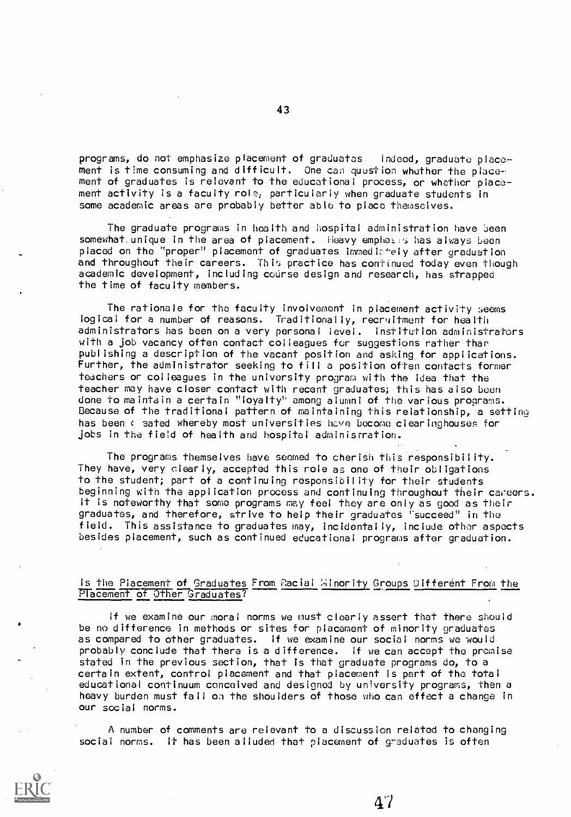programs, do not emphasize placement of graduates. Indeed, graduate placement is time consuming and difficult. One can question whether the placement of graduates is relevant to the educational process, or whether placement activity is a faculty role, particularly when graduate students in some academic areas are probably better able to place themselves.

The graduate programs in health and hospital administration have been somewhat. unique in the area of placement. Heavy empha:.:e has always been placed on the "proper" placement of graduates immedictely after graduation and throughout their careers. This practice has continued today even though academic development, including course design and research, has strapped the time of faculty members.

The rationale for the faculty involvement in placement activity seems logical for a number of reasons. Traditionally, recruitment for health administrators has been on a very personal level. Institution administrators with a job vacancy often contact colleagues for suggestions rather than publishing a description of the vacant position and asking, for applications. Further, the administrator seeking to fill a position often contacts former teachers or colleagues in the university program with the idea that the teacher may have closer contact with recent graduates; this has also been done to maintain a certain "loyalty' among alumni of the various programs. Because of the traditional pattern of maintaining this relationship, a settine has been c sated whereby most universities have become clearinghouses for jobs in the field of health and hospital administration.

The programs themselves have seemed to cherish this responsibility. They have, very clearly, accepted this role as one of their obligations to the student; part of a continuing responsibility for their students beginning with the application process and continuing throughout their careers. It is noteworthy that some programs may feel they are Only as good as their graduates, and therefore, strive to help their graduates 'succeed" in the field. This assistance to graduates may, incidentally, include other aspects besides placement, such as continued educational programs after graduation.

#### Is the Placement of Graduates From Racial Hinority Groups Different From the Placement of Other Graduates?

If we examine our moral norms we must clearly assert that there should be no difference in methods or sites for placement of minority graduates as compared to other graduates. If we examine our social norms we would probably conclude that there is a difference. If we can accept the promise stated in the previous section, that is that graduate programs do, to a certain extent, control placement and that placement is part of the total educational continuum conceived and designed by university programs, then a heavy burden must fall on the shoulders of those who can effect a change in our social norms.

A number of comments are relevant to a discussion related to changing social norms. It has been alluded that placement of graduates is often

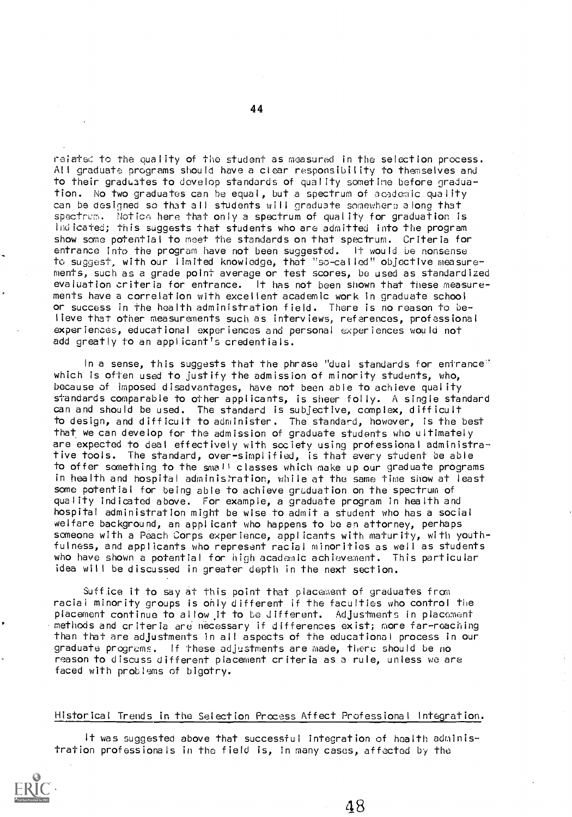rat to the quality of the student as measured in the selection process. All graduate programs should have a clear responsibility to themselves and to their graduates to develop standards of quality sometime before graduation. No two graduates can be equal, but a spectrum of academic quality can be designed so that all students will graduate somewhere along that spectrum. Notice here that only a spectrum of quality for graduation is indicated; this suggests that students who are admitted into the program show some potential to meet the standards on that spectrum. Criteria for entrance into the program have not been suggested. It would be nonsense to suggest, with our limited knowledge, that "so-called" objective measurements, such as a grade point average or test scores, be used as standardized evaluation criteria for entrance. It has not been shown that these measurements have a correlation with excellent academic work in graduate school or success in the health administration field. There is no reason to believe that other measurements such as interviews, references, professional experiences, educational experiences and personal experiences would not add greatly to an applicant's credentials.

In a sense, this suggests that the phrase "dual standards for entrance" which is often used to justify the admission of minority students, who, because of imposed disadvantages, have not been able to achieve quality standards comparable to other applicants, is sheer folly. A single standard can and should be used. The standard is subjective, complex, difficult to design, and difficult to administer. The standard, however, is the best that we can develop for the admission of graduate students who ultimately are expected to deal effectively with society using professional administrative tools. The standard, over-simplified, is that every student be able to offer something to the small classes which make up our graduate programs in health and hospital administration, while at the same time show at least some potential for being able to achieve graduation on the spectrum of quality indicated above. For example, a graduate program in health and hospital administration might be wise to admit a student who has a social welfare background, an applicant who happens to be an attorney, perhaps someone with a Peach Corps experience, applicants with maturity, with youthfulness, and applicants who represent racial minorities as well as students who have shown a potential for high academic achievement. This particular idea will be discussed in greater depth in the next section.

Suffice it to say at this point that placement of graduates from racial minority groups is only different if the faculties who control the placement continue to allow it to be different. Adjustments in placement methods and criteria are necessary if differences exist; more far-reaching than that are adjustments in all aspects of the educational process in our graduate progrems. If these adjustments are made, there should be no reason to discuss different placement criteria as a rule, unless we are faced with problems of bigotry.

#### Historical Trends in the Selection Process Affect Professional Integration.

It was suggested above that successful integration of health administration professionals in the field is, in many cases, affected by the

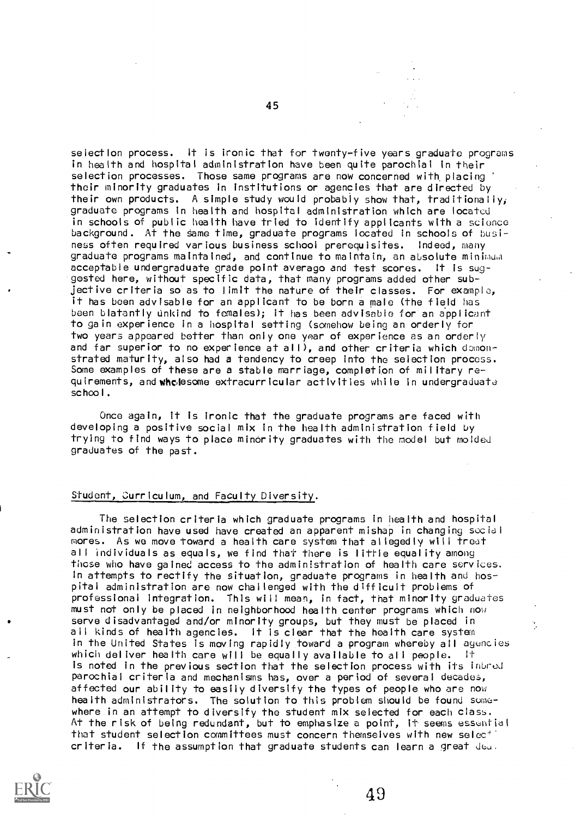selection process. It is ironic that for twenty-five years graduate programs in health and hospital administration have been quite parochial in their selection processes. Those same programs are now concerned with, placing their minority graduates in institutions or agencies that are directed by their own products. A simple study would probably show that, traditionally; graduate programs in health and hospital administration which are located in schools of public health have tried to identify applicants with a science background. At the same time, graduate programs located in schools of business often required various business school prerequisites. Indeed, many graduate programs maintained, and continue to maintain, an absolute minimum acceptable undergraduate grade point average and test scores. It is suggested here, without specific data, that many programs added other subjective criteria so as to limit the nature of their classes. For example, it has been advisable for an applicant to be born a male (the field has been blatantly unkind to females); it has been advisable for an applicant to gain experience in a hospital setting (somehow being an orderly for two years appeared better than only one year of experience as an orderly and far superior to no experience at all), and other criteria which demonstrated maturity, also had a tendency to creep into the selection process. Some examples of these are a stable marriage, completion of military requirements, and whelesome extracurricular activities while in undergraduate school.

Once again, it is ironic that the graduate programs are faced with developing a positive social mix in the health administration field by trying to find ways to place minority graduates with the model but molded graduates of the past.

#### Student, curriculum, and Faculty Diversity.

The selection criteria which graduate programs in health and hospital administration have used have created an apparent mishap in changing social mores. As we move toward a health care system that allegedly will treat all individuals as equals, we find that there is little equality among those who have gained access to the administration of health care services. In attempts to rectify the situation, graduate programs in health and hospital administration are now challenged with the difficult problems of professional integration. This will mean, in fact, that minority graduates must not only be placed in neighborhood health center programs which now serve disadvantaged and/or minority groups, but they must be placed in all kinds of health agencies. It is clear that the hoalth care system in the United States is moving rapidly toward a program whereby all agencies which deliver health care will be equally available to all people. It is noted in the previous section that the selection process with its inbred parochial criteria and mechanisms has, over a period of several decades, affected our ability to easily diversify the types of people who are now health administrators. The solution to this problem should be found somewhere in an attempt to diversify the student mix selected for each class. At the risk of being redundant, but to emphasize a point, it seems essential that student selection committees must concern themselves with new select  $cr$  iteria. If the assumption that graduate students can learn a great  $d\omega$ .



45

49

Ý,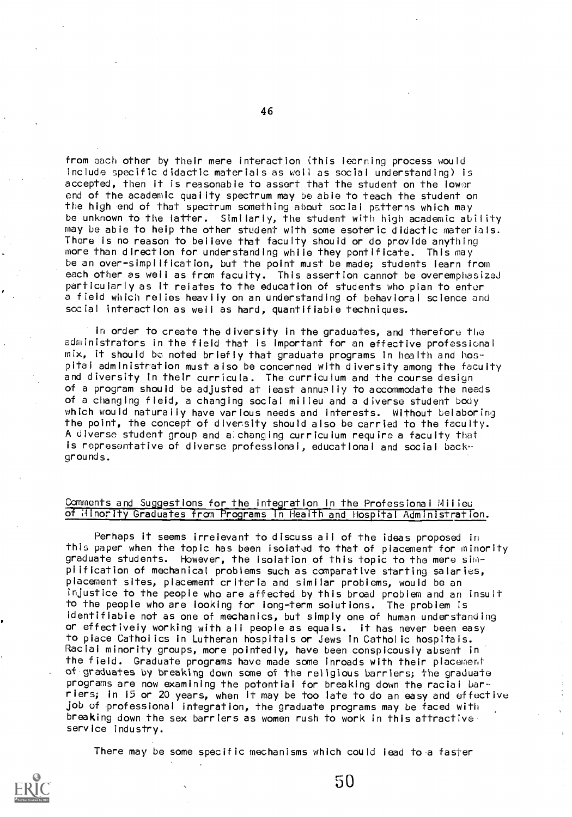from each other by their mere interaction (this learning process would include specific didactic materials as well as social understanding) is accepted, then it is reasonable to assert that the student on the lower end of the academic quality spectrum may be able to teach the student on the high end of that spectrum something about social patterns which may be unknown to the latter. Similarly, the student with high academic ability may be able to help the other student with some esoteric didactic materials. There is no reason to believe that faculty should or do provide anything more than direction for understanding while they pontificate. This may be an over-simplification, but the point must be made; students learn from each other as well as from faculty. This assertion cannot be overemphasized particularly as it relates to the education of students who plan to enter a field which relies heavily on an understanding of behavioral science and social interaction as well as hard, quantifiable techniques.

In order to create the diversity in the graduates, and therefore the administrators in the field that is important for an effective professional mix, it should be noted briefly that graduate programs in health and hospital administration must also be concerned with diversity among the faculty and diversity in their curricula. The curriculum and the course design of a program should be adjusted at least annually to accommodate the needs of a changing field, a changing social milieu and a diverse student body which would naturally have various needs and interests. Without belaboring the point, the concept of diversity should also be carried to the faculty. A diverse student group and a:changing curriculum require a faculty that Is representative of diverse professional, educational and social backgrounds.

#### Comments and Suggestions for the integration in the Professional Milieu of Minority Graduates from Programs In Health and Hospital Administration.

Perhaps it seems irrelevant to discuss all of the ideas proposed in this paper when the topic has been isolated to that of placement for minority graduate students. However, the isolation of this topic to the mere simplification of mechanical problems such as comparative starting salaries, placement sites, placement criteria and similar problems, would be an injustice to the people who are affected by this broad problem and an insult to the people who are looking for long-term solutions. The problem is identifiable not as one of mechanics, but simply one of human understanding or effectively working with all people as equals. it has never been easy to place Catholics in Lutheran hospitals or Jews in Catholic hospitals. Racial minority groups, more pointedly, have been conspicously absent in the field. Graduate programs have made some inroads with their placement of graduates by breaking down sane of the religious barriers; the graduate programs are now examining the potential for breaking down the racial bar riers; in 15 or 20 years, when it may be too late to do an easy and effective job of professional integration, the graduate programs may be faced with breaking down the sex barriers as women rush to work in this attractive service industry.

There may be some specific mechanisms which could lead to a faster

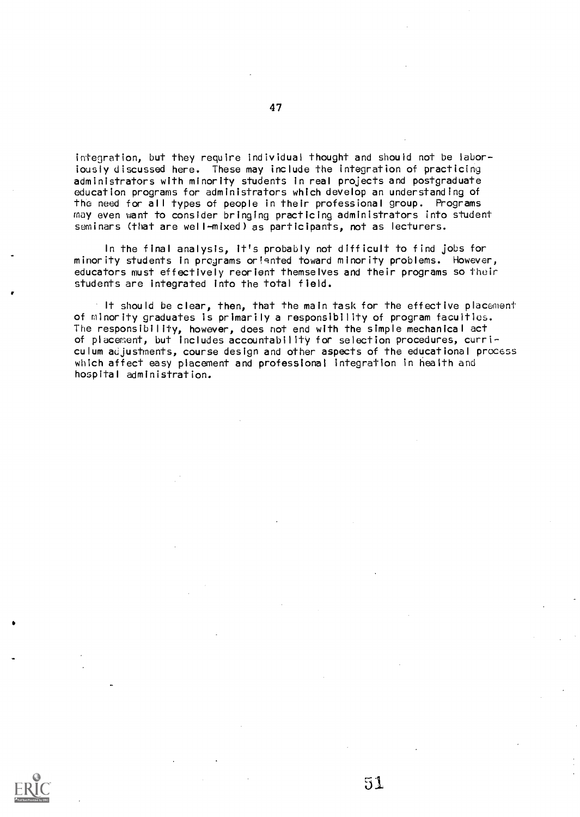integration, but they require individual thought and should not be laboriously discussed here. These may include the integration of practicing administrators with minority students in real projects and postgraduate education programs for administrators which develop an understanding of the need for all types of people in their professional group. Programs may even want to consider bringing practicing administrators into student seminars (that are well-mixed) as participants, not as lecturers.

In the final analysis, it's probably not difficult to find jobs for minority students in programs ori9nted toward minority problems. However, educators must effectively reorient themselves and their programs so their students are integrated into the total field.

It should be clear, then, that the main task for the effective placement of minority graduates is primarily a responsibility of program faculties. The responsibility, however, does not end with the simple mechanical act of placement, but includes accountability for selection procedures, curriculum adjustments, course design and other aspects of the educational process which affect easy placement and professional integration in health and hospital administration.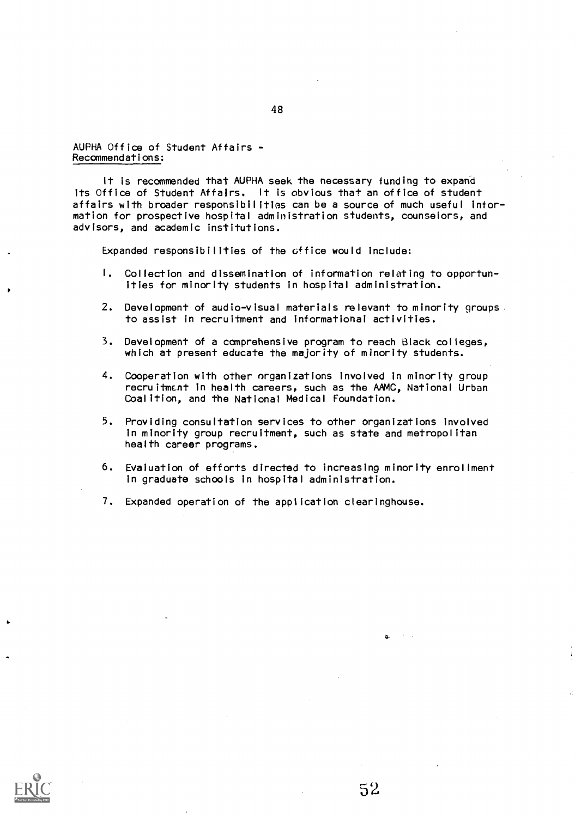AUPHA Office of Student Affairs - Recommendations:

It is recommended that AUPHA seek the necessary funding to expand its Office of Student Affairs. It is obvious that an office of student affairs with broader responsibilities can be a source of much useful information for prospective hospital administration students, counselors, and advisors, and academic institutions.

Expanded responsibilities of the office would include:

- I. Collection and dissemination of information relating to opportunities for minority students in hospital administration.
- 2. Development of audio-visual materials relevant to minority groups . to assist in recruitment and informational activities.
- 3. Development of a comprehensive program to reach Black colleges, which at present educate the majority of minority students.
- 4. Cooperation with other organizations involved in minority group recruitment in health careers, such as the AAMC, National Urban Coalition, and the National Medical Foundation.
- 5. Providing consultation services to other organizations involved in minority group recruitment, such as state and metropolitan health career programs.
- 6. Evaluation of efforts directed to increasing minority enrollment in graduate schools in hospital administration.
- 7. Expanded operation of the application clearinghouse.

 $\mathbf{A}$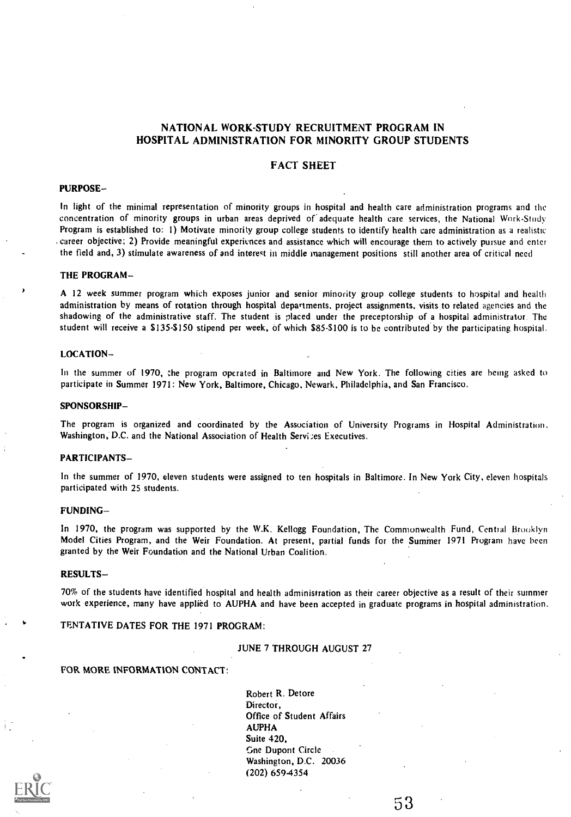## NATIONAL WORK-STUDY RECRUITMENT PROGRAM IN HOSPITAL ADMINISTRATION FOR MINORITY GROUP STUDENTS

#### FACT SHEET

#### PURPOSE

In light of the minimal representation of minority groups in hospital and health care administration programs and the concentration of minority groups in urban areas deprived of. adequate health care services, the National Work-Study Program is established to: 1) Motivate minority group college students to identify health care administration as a realistic . career objective; 2) Provide meaningful experiences and assistance which will encourage them to actively pursue and enter the field and, 3) stimulate awareness of and interest in middle management positions still another area of critical need

#### THE PROGRAM

A 12 week summer program which exposes junior and senior minority group college students to hospital and health administration by means of rotation through hospital departments, project assignments, visits to related agencies and the shadowing of the administrative staff. The student is placed under the preceptorship of a hospital administrator. The student will receive a \$135-\$150 stipend per week, of which \$85-\$100 is to be contributed by the participating hospital.

#### LOCATION

In the summer of 1970, the program operated in Baltimore and New York. The following cities are being asked to participate in Summer 1971: New York, Baltimore, Chicago, Newark, Philadelphia, and San Francisco.

#### SPONSORSHIP

The program is organized and coordinated by the Association of University Programs in Hospital Administration. Washington, D.C. and the National Association of Health Services Executives.

#### PARTICIPANTS

In the summer of 1970, eleven students were assigned to ten hospitals in Baltimore. In New York City, eleven hospitals participated with 25 students.

#### FUNDING

In 1970, the program was supported by the W.K. Kellogg Foundation, The Commonwealth Fund, Central Brooklyn Model Cities Program, and the Weir Foundation. At present, partial funds for the Summer 1971 Program have been granted by the Weir Foundation and the National Urban Coalition.

#### RESULTS-

70% of the students have identified hospital and health administration as their career objective as a result of their summer work experience, many have applied to AUPHA and have been accepted in graduate programs in hospital administration.

#### TENTATIVE DATES FOR THE 1971 PROGRAM:

#### JUNE 7 THROUGH AUGUST 27

#### FOR MORE INFORMATION CONTACT:

Robert R. Detore Director, Office of Student Affairs AUPHA Suite 420, Gne Dupont Circle Washington, D.C. 20036 (202) 6594354

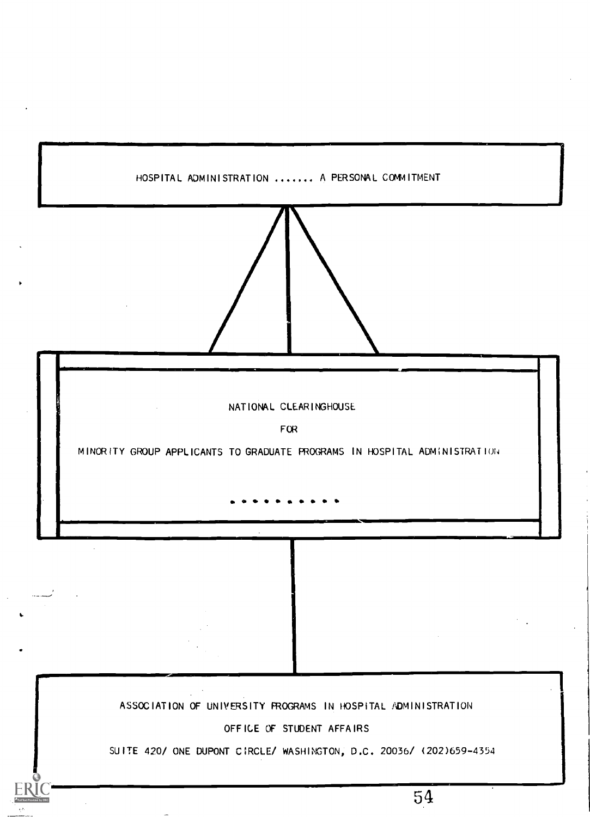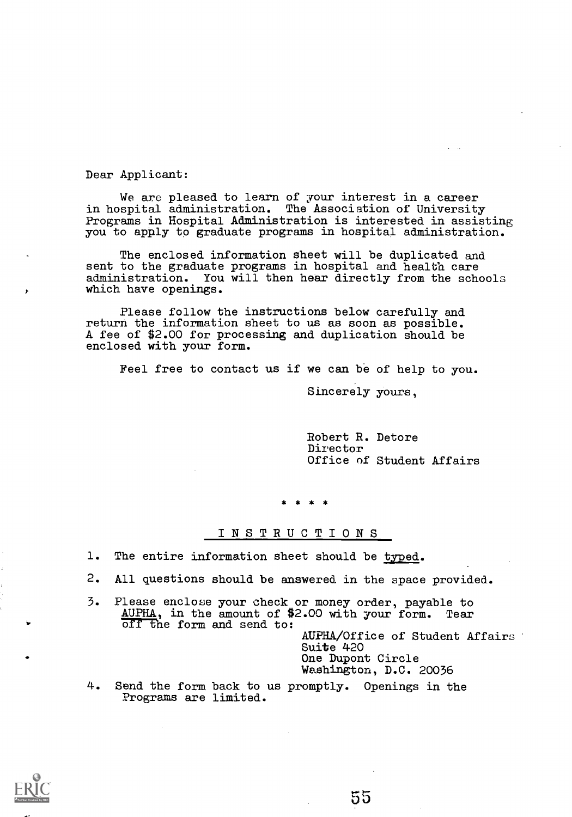Dear Applicant:

We are pleased to learn of your interest in a career in hospital administration. The Association of University Programs in Hospital Administration is interested in assisting you to apply to graduate programs in hospital administration.

The enclosed information sheet will be duplicated and sent to the graduate programs in hospital and health care administration. You will then hear directly from the schools which have openings.

Please follow the instructions below carefully and return the information sheet to us as soon as possible. A fee of \$2.00 for processing and duplication should be enclosed with your form.

Feel free to contact us if we can be of help to you.

Sincerely yours,

Robert R. Detore Director Office of Student Affairs

#### INSTRUCTIONS

- 1. The entire information sheet should be typed.
- 2. All questions should be answered in the space provided.
- 3. Please enclose your check or money order, payable to AUPHA, in the amount of \$2.00 with your form. off the form and send to:

AUPHA/Office of Student Affairs Suite 420 One Dupont Circle Washington, D.C. 20036

4. Send the form back to us promptly. Openings in the Programs are limited.

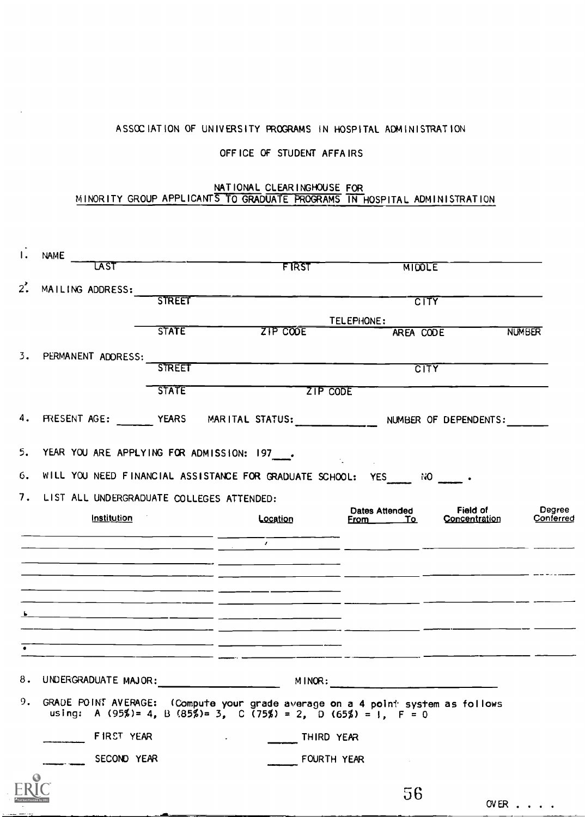# ASSOCIATION OF UNIVERSITY PROGRAMS IN HOSPITAL ADMINISTRATION

# OFF ICE OF STUDENT AFFAIRS

#### NATIONAL CLEARINGHOUSE FOR MINORITY GROUP APPLICANTS TO GRADUATE PROGRAMS IN HOSPITAL ADMINISTRATION

| LAST                                                                                    | <b>EXECUTE 1851</b>                                            | <b>MIDDLE</b>                                                                                                                                              |               |
|-----------------------------------------------------------------------------------------|----------------------------------------------------------------|------------------------------------------------------------------------------------------------------------------------------------------------------------|---------------|
| 2'.<br>MAILING ADDRESS:                                                                 |                                                                |                                                                                                                                                            |               |
| <b>STREET</b>                                                                           |                                                                |                                                                                                                                                            |               |
|                                                                                         |                                                                | TELEPHONE:                                                                                                                                                 |               |
| <b>STATE</b>                                                                            | ZIP COOE                                                       | AREA CODE                                                                                                                                                  | <b>NUMBER</b> |
| 3.<br>PERMANENT ADDRESS:                                                                |                                                                |                                                                                                                                                            |               |
| <b>STREET</b>                                                                           |                                                                | CTTY                                                                                                                                                       |               |
| <b>STATE</b>                                                                            | ZIP CODE                                                       |                                                                                                                                                            |               |
| 4. PRESENT AGE: _______ YEARS MARITAL STATUS: ____________ NUMBER OF DEPENDENTS: ______ |                                                                |                                                                                                                                                            |               |
| 5. YEAR YOU ARE APPLYING FOR ADMISSION: 197___.                                         |                                                                | $\label{eq:2.1} \mathcal{L}_{\mathcal{A}} = \mathcal{L}_{\mathcal{A}} + \mathcal{L}_{\mathcal{A}} + \mathcal{L}_{\mathcal{A}} + \mathcal{L}_{\mathcal{A}}$ |               |
| 6. WILL YOU NEED FINANCIAL ASSISTANCE FOR GRADUATE SCHOOL: YES NO                       |                                                                |                                                                                                                                                            |               |
|                                                                                         |                                                                |                                                                                                                                                            |               |
| 7.<br>LIST ALL UNDERGRADUATE COLLEGES ATTENDED:                                         |                                                                | Field of<br><b>Dates Attended</b>                                                                                                                          | Degree        |
|                                                                                         |                                                                |                                                                                                                                                            |               |
| <u>Institution</u>                                                                      | Location                                                       | Concentration<br>From <u>To</u>                                                                                                                            | Conferred     |
|                                                                                         | $\mathcal{L}$                                                  |                                                                                                                                                            |               |
|                                                                                         |                                                                |                                                                                                                                                            |               |
|                                                                                         |                                                                | <u> 1990 - John Harry Harry Harry Harry Harry Harry Harry Harry Harry Harry Harry Harry Harry Harry Harry Harry H</u>                                      |               |
|                                                                                         |                                                                |                                                                                                                                                            |               |
|                                                                                         |                                                                |                                                                                                                                                            |               |
|                                                                                         |                                                                |                                                                                                                                                            |               |
|                                                                                         |                                                                |                                                                                                                                                            |               |
|                                                                                         |                                                                |                                                                                                                                                            |               |
|                                                                                         | MINOR:                                                         |                                                                                                                                                            |               |
| 9. GRADE POINT AVERAGE: (Compute your grade average on a 4 point system as follows      | using: A (95%)= 4, B (85%)= 3, C (75%) = 2, D (65%) = 1, F = 0 |                                                                                                                                                            |               |
| FIRST YEAR                                                                              | THIRD YEAR                                                     |                                                                                                                                                            |               |
|                                                                                         |                                                                |                                                                                                                                                            |               |
| SECOND YEAR                                                                             |                                                                | FOURTH YEAR                                                                                                                                                |               |
|                                                                                         |                                                                | 56                                                                                                                                                         |               |